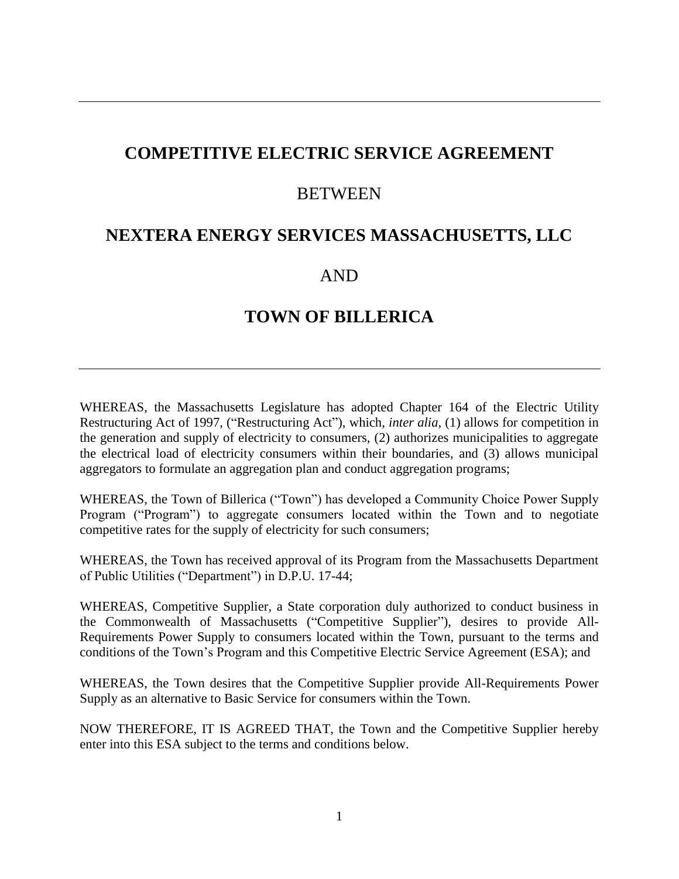# **COMPETITIVE ELECTRIC SERVICE AGREEMENT**

### **BETWEEN**

## **NEXTERA ENERGY SERVICES MASSACHUSETTS, LLC**

## AND

# **TOWN OF BILLERICA**

WHEREAS, the Massachusetts Legislature has adopted Chapter 164 of the Electric Utility Restructuring Act of 1997, ("Restructuring Act"), which, *inter alia,* (1) allows for competition in the generation and supply of electricity to consumers, (2) authorizes municipalities to aggregate the electrical load of electricity consumers within their boundaries, and (3) allows municipal aggregators to formulate an aggregation plan and conduct aggregation programs;

WHEREAS, the Town of Billerica ("Town") has developed a Community Choice Power Supply Program ("Program") to aggregate consumers located within the Town and to negotiate competitive rates for the supply of electricity for such consumers;

WHEREAS, the Town has received approval of its Program from the Massachusetts Department of Public Utilities ("Department") in D.P.U. 17-44;

WHEREAS, Competitive Supplier*,* a State corporation duly authorized to conduct business in the Commonwealth of Massachusetts ("Competitive Supplier"), desires to provide All-Requirements Power Supply to consumers located within the Town, pursuant to the terms and conditions of the Town's Program and this Competitive Electric Service Agreement (ESA); and

WHEREAS, the Town desires that the Competitive Supplier provide All-Requirements Power Supply as an alternative to Basic Service for consumers within the Town.

NOW THEREFORE, IT IS AGREED THAT, the Town and the Competitive Supplier hereby enter into this ESA subject to the terms and conditions below.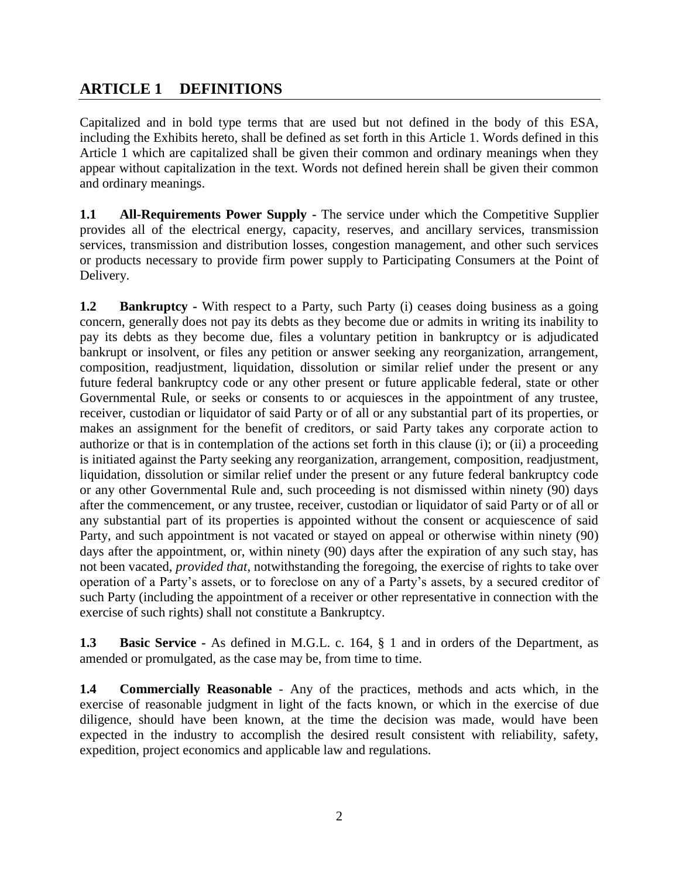## **ARTICLE 1 DEFINITIONS**

Capitalized and in bold type terms that are used but not defined in the body of this ESA, including the Exhibits hereto, shall be defined as set forth in this Article 1. Words defined in this Article 1 which are capitalized shall be given their common and ordinary meanings when they appear without capitalization in the text. Words not defined herein shall be given their common and ordinary meanings.

**1.1 All-Requirements Power Supply -** The service under which the Competitive Supplier provides all of the electrical energy, capacity, reserves, and ancillary services, transmission services, transmission and distribution losses, congestion management, and other such services or products necessary to provide firm power supply to Participating Consumers at the Point of Delivery.

**1.2 Bankruptcy** - With respect to a Party, such Party (i) ceases doing business as a going concern, generally does not pay its debts as they become due or admits in writing its inability to pay its debts as they become due, files a voluntary petition in bankruptcy or is adjudicated bankrupt or insolvent, or files any petition or answer seeking any reorganization, arrangement, composition, readjustment, liquidation, dissolution or similar relief under the present or any future federal bankruptcy code or any other present or future applicable federal, state or other Governmental Rule, or seeks or consents to or acquiesces in the appointment of any trustee, receiver, custodian or liquidator of said Party or of all or any substantial part of its properties, or makes an assignment for the benefit of creditors, or said Party takes any corporate action to authorize or that is in contemplation of the actions set forth in this clause (i); or (ii) a proceeding is initiated against the Party seeking any reorganization, arrangement, composition, readjustment, liquidation, dissolution or similar relief under the present or any future federal bankruptcy code or any other Governmental Rule and, such proceeding is not dismissed within ninety (90) days after the commencement, or any trustee, receiver, custodian or liquidator of said Party or of all or any substantial part of its properties is appointed without the consent or acquiescence of said Party, and such appointment is not vacated or stayed on appeal or otherwise within ninety (90) days after the appointment, or, within ninety (90) days after the expiration of any such stay, has not been vacated, *provided that*, notwithstanding the foregoing, the exercise of rights to take over operation of a Party's assets, or to foreclose on any of a Party's assets, by a secured creditor of such Party (including the appointment of a receiver or other representative in connection with the exercise of such rights) shall not constitute a Bankruptcy.

**1.3 Basic Service -** As defined in M.G.L. c. 164, § 1 and in orders of the Department, as amended or promulgated, as the case may be, from time to time.

**1.4 Commercially Reasonable** - Any of the practices, methods and acts which, in the exercise of reasonable judgment in light of the facts known, or which in the exercise of due diligence, should have been known, at the time the decision was made, would have been expected in the industry to accomplish the desired result consistent with reliability, safety, expedition, project economics and applicable law and regulations.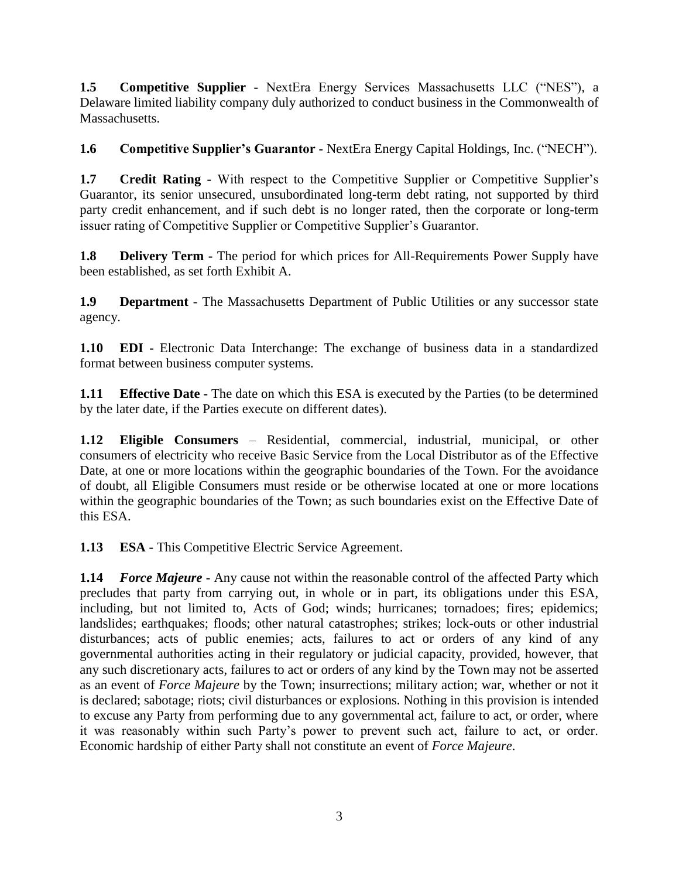**1.5 Competitive Supplier -** NextEra Energy Services Massachusetts LLC ("NES"), a Delaware limited liability company duly authorized to conduct business in the Commonwealth of Massachusetts.

**1.6 Competitive Supplier's Guarantor -** NextEra Energy Capital Holdings, Inc. ("NECH").

**1.7 Credit Rating -** With respect to the Competitive Supplier or Competitive Supplier's Guarantor, its senior unsecured, unsubordinated long-term debt rating, not supported by third party credit enhancement, and if such debt is no longer rated, then the corporate or long-term issuer rating of Competitive Supplier or Competitive Supplier's Guarantor.

**1.8 Delivery Term -** The period for which prices for All-Requirements Power Supply have been established, as set forth Exhibit A.

**1.9 Department** - The Massachusetts Department of Public Utilities or any successor state agency.

**1.10 EDI -** Electronic Data Interchange: The exchange of business data in a standardized format between business computer systems.

**1.11 Effective Date -** The date on which this ESA is executed by the Parties (to be determined by the later date, if the Parties execute on different dates).

**1.12 Eligible Consumers** – Residential, commercial, industrial, municipal, or other consumers of electricity who receive Basic Service from the Local Distributor as of the Effective Date, at one or more locations within the geographic boundaries of the Town. For the avoidance of doubt, all Eligible Consumers must reside or be otherwise located at one or more locations within the geographic boundaries of the Town; as such boundaries exist on the Effective Date of this ESA.

**1.13 ESA -** This Competitive Electric Service Agreement.

**1.14** *Force Majeure* **-** Any cause not within the reasonable control of the affected Party which precludes that party from carrying out, in whole or in part, its obligations under this ESA, including, but not limited to, Acts of God; winds; hurricanes; tornadoes; fires; epidemics; landslides; earthquakes; floods; other natural catastrophes; strikes; lock-outs or other industrial disturbances; acts of public enemies; acts, failures to act or orders of any kind of any governmental authorities acting in their regulatory or judicial capacity, provided, however, that any such discretionary acts, failures to act or orders of any kind by the Town may not be asserted as an event of *Force Majeure* by the Town; insurrections; military action; war, whether or not it is declared; sabotage; riots; civil disturbances or explosions. Nothing in this provision is intended to excuse any Party from performing due to any governmental act, failure to act, or order, where it was reasonably within such Party's power to prevent such act, failure to act, or order. Economic hardship of either Party shall not constitute an event of *Force Majeure*.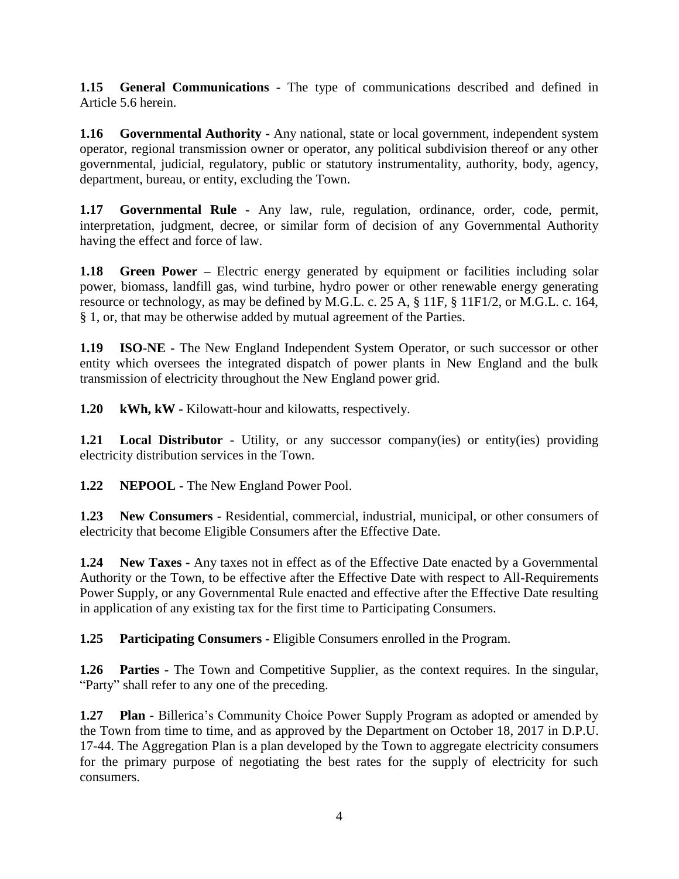**1.15 General Communications -** The type of communications described and defined in Article 5.6 herein.

**1.16 Governmental Authority -** Any national, state or local government, independent system operator, regional transmission owner or operator, any political subdivision thereof or any other governmental, judicial, regulatory, public or statutory instrumentality, authority, body, agency, department, bureau, or entity, excluding the Town.

**1.17 Governmental Rule -** Any law, rule, regulation, ordinance, order, code, permit, interpretation, judgment, decree, or similar form of decision of any Governmental Authority having the effect and force of law.

**1.18 Green Power** – Electric energy generated by equipment or facilities including solar power, biomass, landfill gas, wind turbine, hydro power or other renewable energy generating resource or technology, as may be defined by M.G.L. c. 25 A, § 11F, § 11F1/2, or M.G.L. c. 164, § 1, or, that may be otherwise added by mutual agreement of the Parties.

**1.19 ISO-NE -** The New England Independent System Operator, or such successor or other entity which oversees the integrated dispatch of power plants in New England and the bulk transmission of electricity throughout the New England power grid.

**1.20 kWh, kW -** Kilowatt-hour and kilowatts, respectively.

**1.21 Local Distributor -** Utility, or any successor company(ies) or entity(ies) providing electricity distribution services in the Town.

**1.22 NEPOOL -** The New England Power Pool.

**1.23 New Consumers -** Residential, commercial, industrial, municipal, or other consumers of electricity that become Eligible Consumers after the Effective Date.

**1.24 New Taxes -** Any taxes not in effect as of the Effective Date enacted by a Governmental Authority or the Town, to be effective after the Effective Date with respect to All-Requirements Power Supply, or any Governmental Rule enacted and effective after the Effective Date resulting in application of any existing tax for the first time to Participating Consumers.

**1.25 Participating Consumers -** Eligible Consumers enrolled in the Program.

**1.26 Parties** - The Town and Competitive Supplier, as the context requires. In the singular, "Party" shall refer to any one of the preceding.

**1.27 Plan -** Billerica's Community Choice Power Supply Program as adopted or amended by the Town from time to time, and as approved by the Department on October 18, 2017 in D.P.U. 17-44. The Aggregation Plan is a plan developed by the Town to aggregate electricity consumers for the primary purpose of negotiating the best rates for the supply of electricity for such consumers.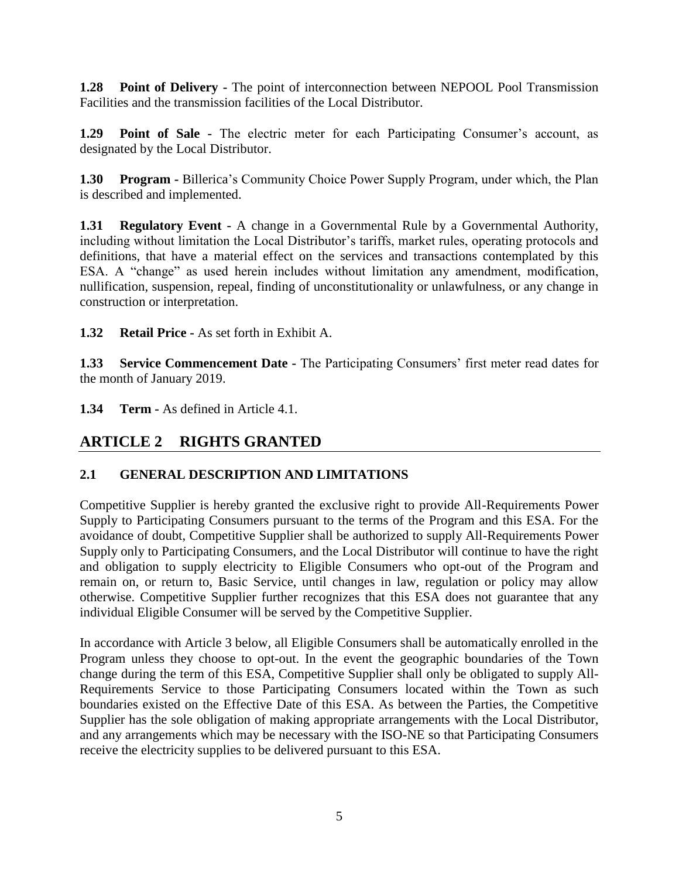**1.28 Point of Delivery -** The point of interconnection between NEPOOL Pool Transmission Facilities and the transmission facilities of the Local Distributor.

**1.29 Point of Sale -** The electric meter for each Participating Consumer's account, as designated by the Local Distributor.

**1.30 Program -** Billerica's Community Choice Power Supply Program, under which, the Plan is described and implemented.

**1.31 Regulatory Event -** A change in a Governmental Rule by a Governmental Authority, including without limitation the Local Distributor's tariffs, market rules, operating protocols and definitions, that have a material effect on the services and transactions contemplated by this ESA. A "change" as used herein includes without limitation any amendment, modification, nullification, suspension, repeal, finding of unconstitutionality or unlawfulness, or any change in construction or interpretation.

**1.32 Retail Price -** As set forth in Exhibit A.

**1.33 Service Commencement Date -** The Participating Consumers' first meter read dates for the month of January 2019.

**1.34 Term -** As defined in Article 4.1.

# **ARTICLE 2 RIGHTS GRANTED**

#### **2.1 GENERAL DESCRIPTION AND LIMITATIONS**

Competitive Supplier is hereby granted the exclusive right to provide All-Requirements Power Supply to Participating Consumers pursuant to the terms of the Program and this ESA. For the avoidance of doubt, Competitive Supplier shall be authorized to supply All-Requirements Power Supply only to Participating Consumers, and the Local Distributor will continue to have the right and obligation to supply electricity to Eligible Consumers who opt-out of the Program and remain on, or return to, Basic Service, until changes in law, regulation or policy may allow otherwise. Competitive Supplier further recognizes that this ESA does not guarantee that any individual Eligible Consumer will be served by the Competitive Supplier.

In accordance with Article 3 below, all Eligible Consumers shall be automatically enrolled in the Program unless they choose to opt-out. In the event the geographic boundaries of the Town change during the term of this ESA, Competitive Supplier shall only be obligated to supply All-Requirements Service to those Participating Consumers located within the Town as such boundaries existed on the Effective Date of this ESA. As between the Parties, the Competitive Supplier has the sole obligation of making appropriate arrangements with the Local Distributor, and any arrangements which may be necessary with the ISO-NE so that Participating Consumers receive the electricity supplies to be delivered pursuant to this ESA.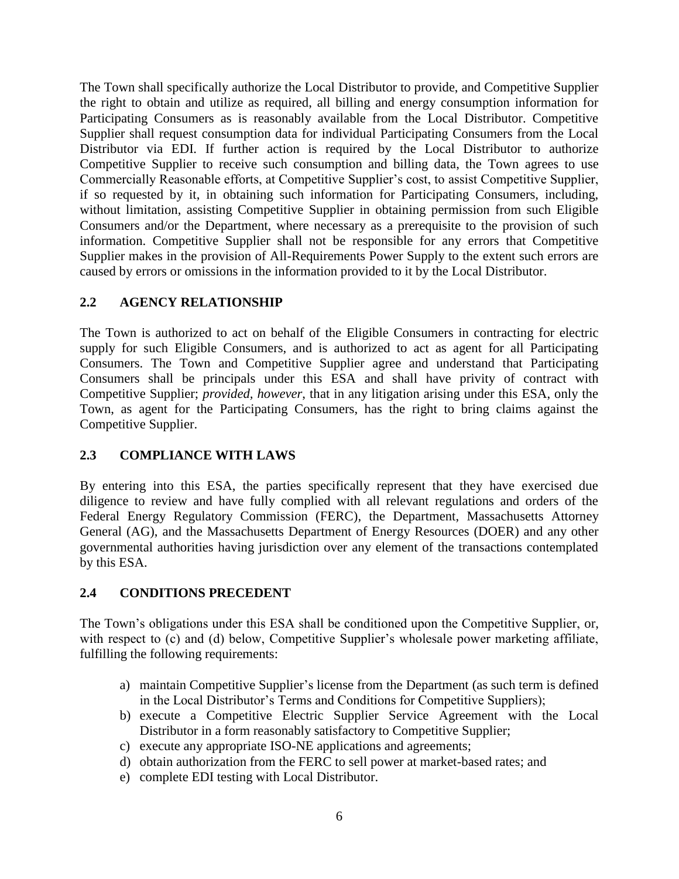The Town shall specifically authorize the Local Distributor to provide, and Competitive Supplier the right to obtain and utilize as required, all billing and energy consumption information for Participating Consumers as is reasonably available from the Local Distributor. Competitive Supplier shall request consumption data for individual Participating Consumers from the Local Distributor via EDI. If further action is required by the Local Distributor to authorize Competitive Supplier to receive such consumption and billing data, the Town agrees to use Commercially Reasonable efforts, at Competitive Supplier's cost, to assist Competitive Supplier, if so requested by it, in obtaining such information for Participating Consumers, including, without limitation, assisting Competitive Supplier in obtaining permission from such Eligible Consumers and/or the Department, where necessary as a prerequisite to the provision of such information. Competitive Supplier shall not be responsible for any errors that Competitive Supplier makes in the provision of All-Requirements Power Supply to the extent such errors are caused by errors or omissions in the information provided to it by the Local Distributor.

#### **2.2 AGENCY RELATIONSHIP**

The Town is authorized to act on behalf of the Eligible Consumers in contracting for electric supply for such Eligible Consumers, and is authorized to act as agent for all Participating Consumers. The Town and Competitive Supplier agree and understand that Participating Consumers shall be principals under this ESA and shall have privity of contract with Competitive Supplier; *provided, however*, that in any litigation arising under this ESA, only the Town, as agent for the Participating Consumers, has the right to bring claims against the Competitive Supplier.

### **2.3 COMPLIANCE WITH LAWS**

By entering into this ESA, the parties specifically represent that they have exercised due diligence to review and have fully complied with all relevant regulations and orders of the Federal Energy Regulatory Commission (FERC), the Department, Massachusetts Attorney General (AG), and the Massachusetts Department of Energy Resources (DOER) and any other governmental authorities having jurisdiction over any element of the transactions contemplated by this ESA.

#### **2.4 CONDITIONS PRECEDENT**

The Town's obligations under this ESA shall be conditioned upon the Competitive Supplier, or, with respect to (c) and (d) below, Competitive Supplier's wholesale power marketing affiliate, fulfilling the following requirements:

- a) maintain Competitive Supplier's license from the Department (as such term is defined in the Local Distributor's Terms and Conditions for Competitive Suppliers);
- b) execute a Competitive Electric Supplier Service Agreement with the Local Distributor in a form reasonably satisfactory to Competitive Supplier;
- c) execute any appropriate ISO-NE applications and agreements;
- d) obtain authorization from the FERC to sell power at market-based rates; and
- e) complete EDI testing with Local Distributor.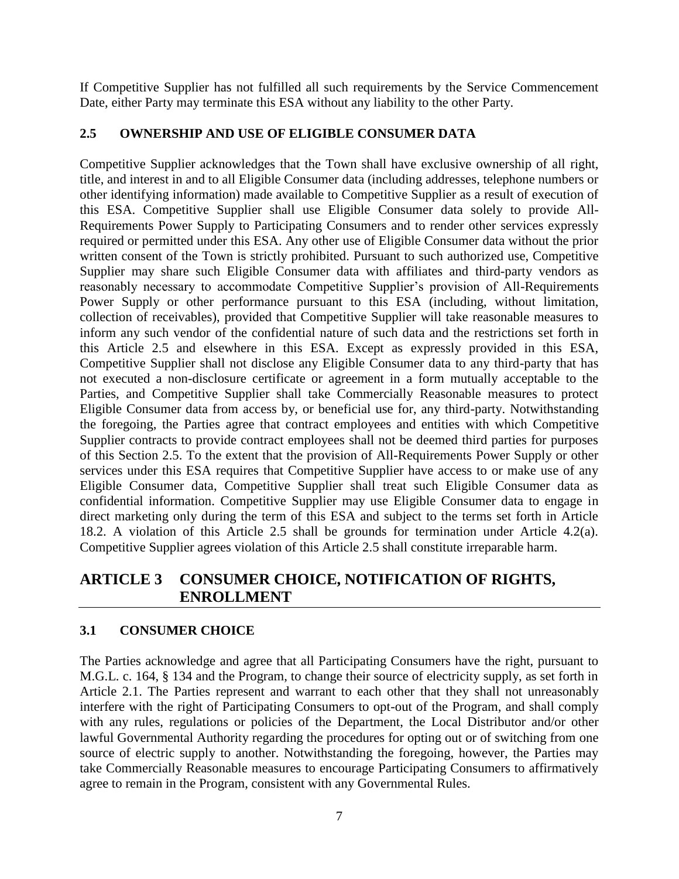If Competitive Supplier has not fulfilled all such requirements by the Service Commencement Date, either Party may terminate this ESA without any liability to the other Party.

#### **2.5 OWNERSHIP AND USE OF ELIGIBLE CONSUMER DATA**

Competitive Supplier acknowledges that the Town shall have exclusive ownership of all right, title, and interest in and to all Eligible Consumer data (including addresses, telephone numbers or other identifying information) made available to Competitive Supplier as a result of execution of this ESA. Competitive Supplier shall use Eligible Consumer data solely to provide All-Requirements Power Supply to Participating Consumers and to render other services expressly required or permitted under this ESA. Any other use of Eligible Consumer data without the prior written consent of the Town is strictly prohibited. Pursuant to such authorized use, Competitive Supplier may share such Eligible Consumer data with affiliates and third-party vendors as reasonably necessary to accommodate Competitive Supplier's provision of All-Requirements Power Supply or other performance pursuant to this ESA (including, without limitation, collection of receivables), provided that Competitive Supplier will take reasonable measures to inform any such vendor of the confidential nature of such data and the restrictions set forth in this Article 2.5 and elsewhere in this ESA. Except as expressly provided in this ESA, Competitive Supplier shall not disclose any Eligible Consumer data to any third-party that has not executed a non-disclosure certificate or agreement in a form mutually acceptable to the Parties, and Competitive Supplier shall take Commercially Reasonable measures to protect Eligible Consumer data from access by, or beneficial use for, any third-party. Notwithstanding the foregoing, the Parties agree that contract employees and entities with which Competitive Supplier contracts to provide contract employees shall not be deemed third parties for purposes of this Section 2.5. To the extent that the provision of All-Requirements Power Supply or other services under this ESA requires that Competitive Supplier have access to or make use of any Eligible Consumer data, Competitive Supplier shall treat such Eligible Consumer data as confidential information. Competitive Supplier may use Eligible Consumer data to engage in direct marketing only during the term of this ESA and subject to the terms set forth in Article 18.2. A violation of this Article 2.5 shall be grounds for termination under Article 4.2(a). Competitive Supplier agrees violation of this Article 2.5 shall constitute irreparable harm.

## **ARTICLE 3 CONSUMER CHOICE, NOTIFICATION OF RIGHTS, ENROLLMENT**

### **3.1 CONSUMER CHOICE**

The Parties acknowledge and agree that all Participating Consumers have the right, pursuant to M.G.L. c. 164, § 134 and the Program, to change their source of electricity supply, as set forth in Article 2.1. The Parties represent and warrant to each other that they shall not unreasonably interfere with the right of Participating Consumers to opt-out of the Program, and shall comply with any rules, regulations or policies of the Department, the Local Distributor and/or other lawful Governmental Authority regarding the procedures for opting out or of switching from one source of electric supply to another. Notwithstanding the foregoing, however, the Parties may take Commercially Reasonable measures to encourage Participating Consumers to affirmatively agree to remain in the Program, consistent with any Governmental Rules.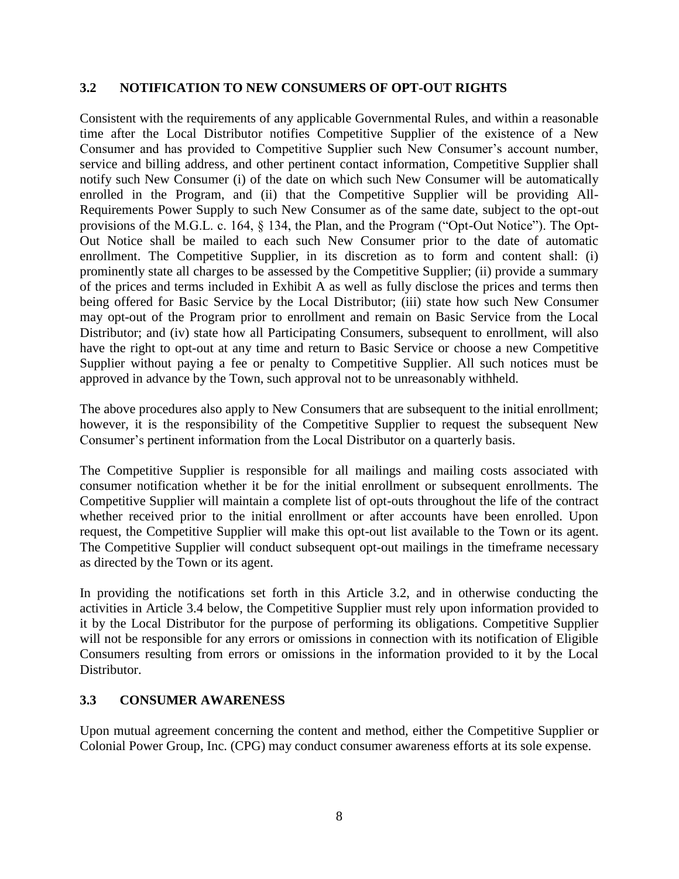#### **3.2 NOTIFICATION TO NEW CONSUMERS OF OPT-OUT RIGHTS**

Consistent with the requirements of any applicable Governmental Rules, and within a reasonable time after the Local Distributor notifies Competitive Supplier of the existence of a New Consumer and has provided to Competitive Supplier such New Consumer's account number, service and billing address, and other pertinent contact information, Competitive Supplier shall notify such New Consumer (i) of the date on which such New Consumer will be automatically enrolled in the Program, and (ii) that the Competitive Supplier will be providing All-Requirements Power Supply to such New Consumer as of the same date, subject to the opt-out provisions of the M.G.L. c. 164, § 134, the Plan, and the Program ("Opt-Out Notice"). The Opt-Out Notice shall be mailed to each such New Consumer prior to the date of automatic enrollment. The Competitive Supplier, in its discretion as to form and content shall: (i) prominently state all charges to be assessed by the Competitive Supplier; (ii) provide a summary of the prices and terms included in Exhibit A as well as fully disclose the prices and terms then being offered for Basic Service by the Local Distributor; (iii) state how such New Consumer may opt-out of the Program prior to enrollment and remain on Basic Service from the Local Distributor; and (iv) state how all Participating Consumers, subsequent to enrollment, will also have the right to opt-out at any time and return to Basic Service or choose a new Competitive Supplier without paying a fee or penalty to Competitive Supplier. All such notices must be approved in advance by the Town, such approval not to be unreasonably withheld.

The above procedures also apply to New Consumers that are subsequent to the initial enrollment; however, it is the responsibility of the Competitive Supplier to request the subsequent New Consumer's pertinent information from the Local Distributor on a quarterly basis.

The Competitive Supplier is responsible for all mailings and mailing costs associated with consumer notification whether it be for the initial enrollment or subsequent enrollments. The Competitive Supplier will maintain a complete list of opt-outs throughout the life of the contract whether received prior to the initial enrollment or after accounts have been enrolled. Upon request, the Competitive Supplier will make this opt-out list available to the Town or its agent. The Competitive Supplier will conduct subsequent opt-out mailings in the timeframe necessary as directed by the Town or its agent.

In providing the notifications set forth in this Article 3.2, and in otherwise conducting the activities in Article 3.4 below, the Competitive Supplier must rely upon information provided to it by the Local Distributor for the purpose of performing its obligations. Competitive Supplier will not be responsible for any errors or omissions in connection with its notification of Eligible Consumers resulting from errors or omissions in the information provided to it by the Local Distributor.

#### **3.3 CONSUMER AWARENESS**

Upon mutual agreement concerning the content and method, either the Competitive Supplier or Colonial Power Group, Inc. (CPG) may conduct consumer awareness efforts at its sole expense.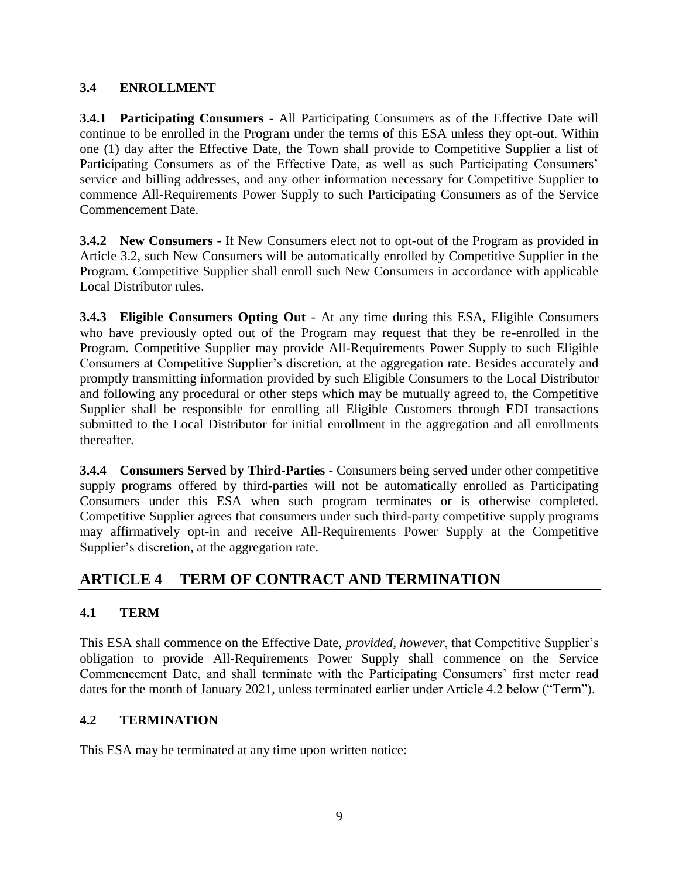#### **3.4 ENROLLMENT**

**3.4.1 Participating Consumers** - All Participating Consumers as of the Effective Date will continue to be enrolled in the Program under the terms of this ESA unless they opt-out. Within one (1) day after the Effective Date, the Town shall provide to Competitive Supplier a list of Participating Consumers as of the Effective Date, as well as such Participating Consumers' service and billing addresses, and any other information necessary for Competitive Supplier to commence All-Requirements Power Supply to such Participating Consumers as of the Service Commencement Date.

**3.4.2 New Consumers** - If New Consumers elect not to opt-out of the Program as provided in Article 3.2, such New Consumers will be automatically enrolled by Competitive Supplier in the Program. Competitive Supplier shall enroll such New Consumers in accordance with applicable Local Distributor rules.

**3.4.3 Eligible Consumers Opting Out** - At any time during this ESA, Eligible Consumers who have previously opted out of the Program may request that they be re-enrolled in the Program. Competitive Supplier may provide All-Requirements Power Supply to such Eligible Consumers at Competitive Supplier's discretion, at the aggregation rate. Besides accurately and promptly transmitting information provided by such Eligible Consumers to the Local Distributor and following any procedural or other steps which may be mutually agreed to, the Competitive Supplier shall be responsible for enrolling all Eligible Customers through EDI transactions submitted to the Local Distributor for initial enrollment in the aggregation and all enrollments thereafter.

**3.4.4 Consumers Served by Third-Parties** - Consumers being served under other competitive supply programs offered by third-parties will not be automatically enrolled as Participating Consumers under this ESA when such program terminates or is otherwise completed. Competitive Supplier agrees that consumers under such third-party competitive supply programs may affirmatively opt-in and receive All-Requirements Power Supply at the Competitive Supplier's discretion, at the aggregation rate.

# **ARTICLE 4 TERM OF CONTRACT AND TERMINATION**

## **4.1 TERM**

This ESA shall commence on the Effective Date, *provided, however*, that Competitive Supplier's obligation to provide All-Requirements Power Supply shall commence on the Service Commencement Date, and shall terminate with the Participating Consumers' first meter read dates for the month of January 2021, unless terminated earlier under Article 4.2 below ("Term").

### **4.2 TERMINATION**

This ESA may be terminated at any time upon written notice: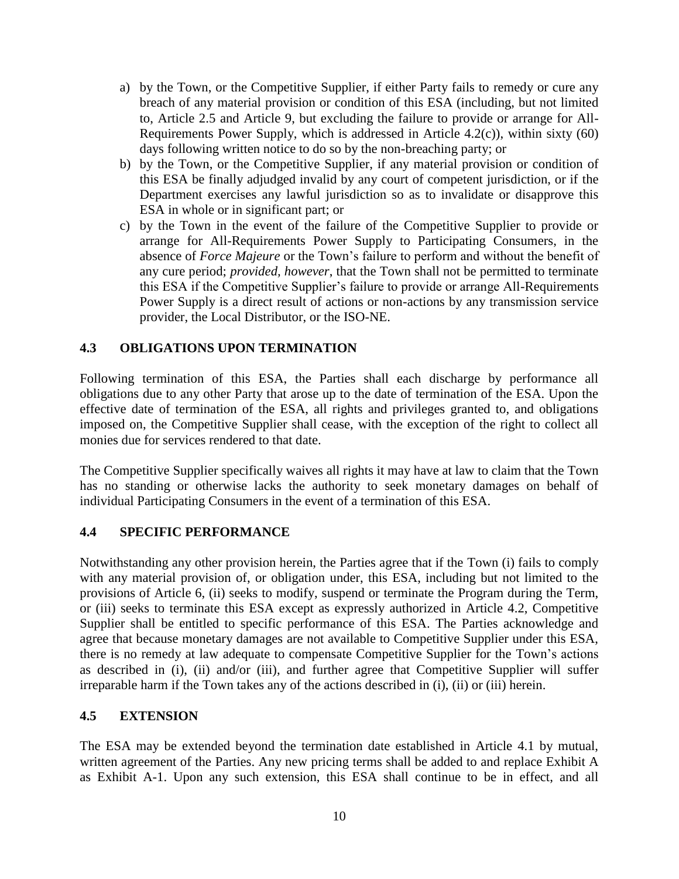- a) by the Town, or the Competitive Supplier, if either Party fails to remedy or cure any breach of any material provision or condition of this ESA (including, but not limited to, Article 2.5 and Article 9, but excluding the failure to provide or arrange for All-Requirements Power Supply, which is addressed in Article 4.2(c)), within sixty (60) days following written notice to do so by the non-breaching party; or
- b) by the Town, or the Competitive Supplier, if any material provision or condition of this ESA be finally adjudged invalid by any court of competent jurisdiction, or if the Department exercises any lawful jurisdiction so as to invalidate or disapprove this ESA in whole or in significant part; or
- c) by the Town in the event of the failure of the Competitive Supplier to provide or arrange for All-Requirements Power Supply to Participating Consumers, in the absence of *Force Majeure* or the Town's failure to perform and without the benefit of any cure period; *provided, however*, that the Town shall not be permitted to terminate this ESA if the Competitive Supplier's failure to provide or arrange All-Requirements Power Supply is a direct result of actions or non-actions by any transmission service provider, the Local Distributor, or the ISO-NE.

#### **4.3 OBLIGATIONS UPON TERMINATION**

Following termination of this ESA, the Parties shall each discharge by performance all obligations due to any other Party that arose up to the date of termination of the ESA. Upon the effective date of termination of the ESA, all rights and privileges granted to, and obligations imposed on, the Competitive Supplier shall cease, with the exception of the right to collect all monies due for services rendered to that date.

The Competitive Supplier specifically waives all rights it may have at law to claim that the Town has no standing or otherwise lacks the authority to seek monetary damages on behalf of individual Participating Consumers in the event of a termination of this ESA.

#### **4.4 SPECIFIC PERFORMANCE**

Notwithstanding any other provision herein, the Parties agree that if the Town (i) fails to comply with any material provision of, or obligation under, this ESA, including but not limited to the provisions of Article 6, (ii) seeks to modify, suspend or terminate the Program during the Term, or (iii) seeks to terminate this ESA except as expressly authorized in Article 4.2, Competitive Supplier shall be entitled to specific performance of this ESA. The Parties acknowledge and agree that because monetary damages are not available to Competitive Supplier under this ESA, there is no remedy at law adequate to compensate Competitive Supplier for the Town's actions as described in (i), (ii) and/or (iii), and further agree that Competitive Supplier will suffer irreparable harm if the Town takes any of the actions described in (i), (ii) or (iii) herein.

#### **4.5 EXTENSION**

The ESA may be extended beyond the termination date established in Article 4.1 by mutual, written agreement of the Parties. Any new pricing terms shall be added to and replace Exhibit A as Exhibit A-1. Upon any such extension, this ESA shall continue to be in effect, and all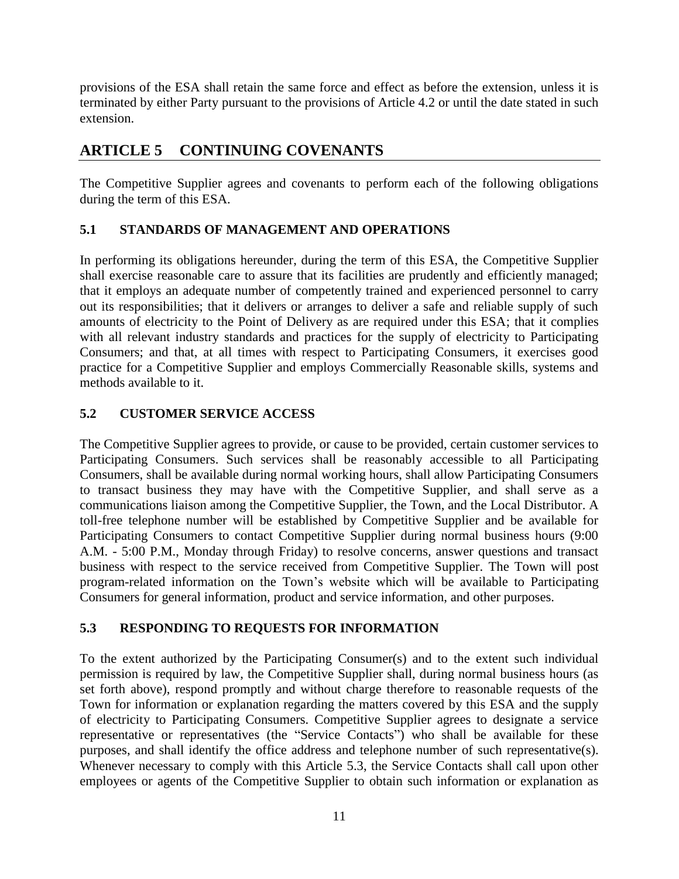provisions of the ESA shall retain the same force and effect as before the extension, unless it is terminated by either Party pursuant to the provisions of Article 4.2 or until the date stated in such extension.

## **ARTICLE 5 CONTINUING COVENANTS**

The Competitive Supplier agrees and covenants to perform each of the following obligations during the term of this ESA.

#### **5.1 STANDARDS OF MANAGEMENT AND OPERATIONS**

In performing its obligations hereunder, during the term of this ESA, the Competitive Supplier shall exercise reasonable care to assure that its facilities are prudently and efficiently managed; that it employs an adequate number of competently trained and experienced personnel to carry out its responsibilities; that it delivers or arranges to deliver a safe and reliable supply of such amounts of electricity to the Point of Delivery as are required under this ESA; that it complies with all relevant industry standards and practices for the supply of electricity to Participating Consumers; and that, at all times with respect to Participating Consumers, it exercises good practice for a Competitive Supplier and employs Commercially Reasonable skills, systems and methods available to it.

#### **5.2 CUSTOMER SERVICE ACCESS**

The Competitive Supplier agrees to provide, or cause to be provided, certain customer services to Participating Consumers. Such services shall be reasonably accessible to all Participating Consumers, shall be available during normal working hours, shall allow Participating Consumers to transact business they may have with the Competitive Supplier, and shall serve as a communications liaison among the Competitive Supplier, the Town, and the Local Distributor. A toll-free telephone number will be established by Competitive Supplier and be available for Participating Consumers to contact Competitive Supplier during normal business hours (9:00 A.M. - 5:00 P.M., Monday through Friday) to resolve concerns, answer questions and transact business with respect to the service received from Competitive Supplier. The Town will post program-related information on the Town's website which will be available to Participating Consumers for general information, product and service information, and other purposes.

#### **5.3 RESPONDING TO REQUESTS FOR INFORMATION**

To the extent authorized by the Participating Consumer(s) and to the extent such individual permission is required by law, the Competitive Supplier shall, during normal business hours (as set forth above), respond promptly and without charge therefore to reasonable requests of the Town for information or explanation regarding the matters covered by this ESA and the supply of electricity to Participating Consumers. Competitive Supplier agrees to designate a service representative or representatives (the "Service Contacts") who shall be available for these purposes, and shall identify the office address and telephone number of such representative(s). Whenever necessary to comply with this Article 5.3, the Service Contacts shall call upon other employees or agents of the Competitive Supplier to obtain such information or explanation as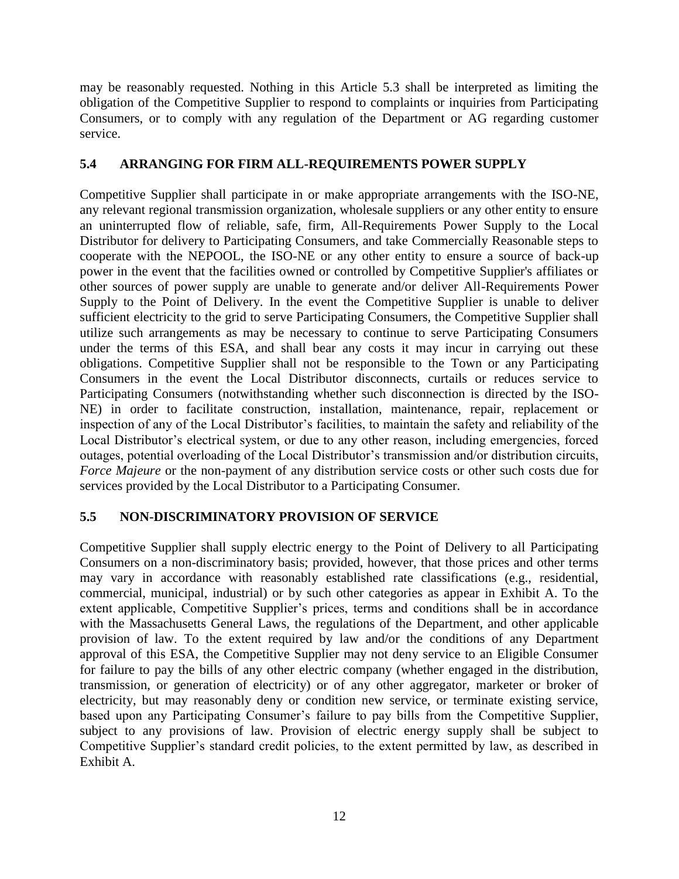may be reasonably requested. Nothing in this Article 5.3 shall be interpreted as limiting the obligation of the Competitive Supplier to respond to complaints or inquiries from Participating Consumers, or to comply with any regulation of the Department or AG regarding customer service.

#### **5.4 ARRANGING FOR FIRM ALL-REQUIREMENTS POWER SUPPLY**

Competitive Supplier shall participate in or make appropriate arrangements with the ISO-NE, any relevant regional transmission organization, wholesale suppliers or any other entity to ensure an uninterrupted flow of reliable, safe, firm, All-Requirements Power Supply to the Local Distributor for delivery to Participating Consumers, and take Commercially Reasonable steps to cooperate with the NEPOOL, the ISO-NE or any other entity to ensure a source of back-up power in the event that the facilities owned or controlled by Competitive Supplier's affiliates or other sources of power supply are unable to generate and/or deliver All-Requirements Power Supply to the Point of Delivery. In the event the Competitive Supplier is unable to deliver sufficient electricity to the grid to serve Participating Consumers, the Competitive Supplier shall utilize such arrangements as may be necessary to continue to serve Participating Consumers under the terms of this ESA, and shall bear any costs it may incur in carrying out these obligations. Competitive Supplier shall not be responsible to the Town or any Participating Consumers in the event the Local Distributor disconnects, curtails or reduces service to Participating Consumers (notwithstanding whether such disconnection is directed by the ISO-NE) in order to facilitate construction, installation, maintenance, repair, replacement or inspection of any of the Local Distributor's facilities, to maintain the safety and reliability of the Local Distributor's electrical system, or due to any other reason, including emergencies, forced outages, potential overloading of the Local Distributor's transmission and/or distribution circuits, *Force Majeure* or the non-payment of any distribution service costs or other such costs due for services provided by the Local Distributor to a Participating Consumer.

#### **5.5 NON-DISCRIMINATORY PROVISION OF SERVICE**

Competitive Supplier shall supply electric energy to the Point of Delivery to all Participating Consumers on a non-discriminatory basis; provided, however, that those prices and other terms may vary in accordance with reasonably established rate classifications (e.g., residential, commercial, municipal, industrial) or by such other categories as appear in Exhibit A. To the extent applicable, Competitive Supplier's prices, terms and conditions shall be in accordance with the Massachusetts General Laws, the regulations of the Department, and other applicable provision of law. To the extent required by law and/or the conditions of any Department approval of this ESA, the Competitive Supplier may not deny service to an Eligible Consumer for failure to pay the bills of any other electric company (whether engaged in the distribution, transmission, or generation of electricity) or of any other aggregator, marketer or broker of electricity, but may reasonably deny or condition new service, or terminate existing service, based upon any Participating Consumer's failure to pay bills from the Competitive Supplier, subject to any provisions of law. Provision of electric energy supply shall be subject to Competitive Supplier's standard credit policies, to the extent permitted by law, as described in Exhibit A.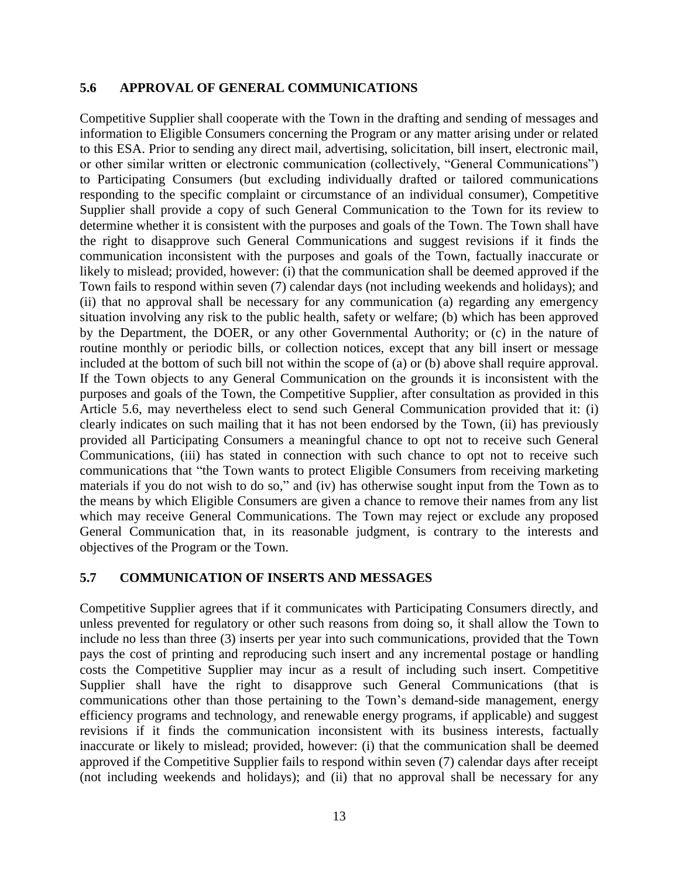#### **5.6 APPROVAL OF GENERAL COMMUNICATIONS**

Competitive Supplier shall cooperate with the Town in the drafting and sending of messages and information to Eligible Consumers concerning the Program or any matter arising under or related to this ESA. Prior to sending any direct mail, advertising, solicitation, bill insert, electronic mail, or other similar written or electronic communication (collectively, "General Communications") to Participating Consumers (but excluding individually drafted or tailored communications responding to the specific complaint or circumstance of an individual consumer), Competitive Supplier shall provide a copy of such General Communication to the Town for its review to determine whether it is consistent with the purposes and goals of the Town. The Town shall have the right to disapprove such General Communications and suggest revisions if it finds the communication inconsistent with the purposes and goals of the Town, factually inaccurate or likely to mislead; provided, however: (i) that the communication shall be deemed approved if the Town fails to respond within seven (7) calendar days (not including weekends and holidays); and (ii) that no approval shall be necessary for any communication (a) regarding any emergency situation involving any risk to the public health, safety or welfare; (b) which has been approved by the Department, the DOER, or any other Governmental Authority; or (c) in the nature of routine monthly or periodic bills, or collection notices, except that any bill insert or message included at the bottom of such bill not within the scope of (a) or (b) above shall require approval. If the Town objects to any General Communication on the grounds it is inconsistent with the purposes and goals of the Town, the Competitive Supplier, after consultation as provided in this Article 5.6, may nevertheless elect to send such General Communication provided that it: (i) clearly indicates on such mailing that it has not been endorsed by the Town, (ii) has previously provided all Participating Consumers a meaningful chance to opt not to receive such General Communications, (iii) has stated in connection with such chance to opt not to receive such communications that "the Town wants to protect Eligible Consumers from receiving marketing materials if you do not wish to do so," and (iv) has otherwise sought input from the Town as to the means by which Eligible Consumers are given a chance to remove their names from any list which may receive General Communications. The Town may reject or exclude any proposed General Communication that, in its reasonable judgment, is contrary to the interests and objectives of the Program or the Town.

#### **5.7 COMMUNICATION OF INSERTS AND MESSAGES**

Competitive Supplier agrees that if it communicates with Participating Consumers directly, and unless prevented for regulatory or other such reasons from doing so, it shall allow the Town to include no less than three (3) inserts per year into such communications, provided that the Town pays the cost of printing and reproducing such insert and any incremental postage or handling costs the Competitive Supplier may incur as a result of including such insert. Competitive Supplier shall have the right to disapprove such General Communications (that is communications other than those pertaining to the Town's demand-side management, energy efficiency programs and technology, and renewable energy programs, if applicable) and suggest revisions if it finds the communication inconsistent with its business interests, factually inaccurate or likely to mislead; provided, however: (i) that the communication shall be deemed approved if the Competitive Supplier fails to respond within seven (7) calendar days after receipt (not including weekends and holidays); and (ii) that no approval shall be necessary for any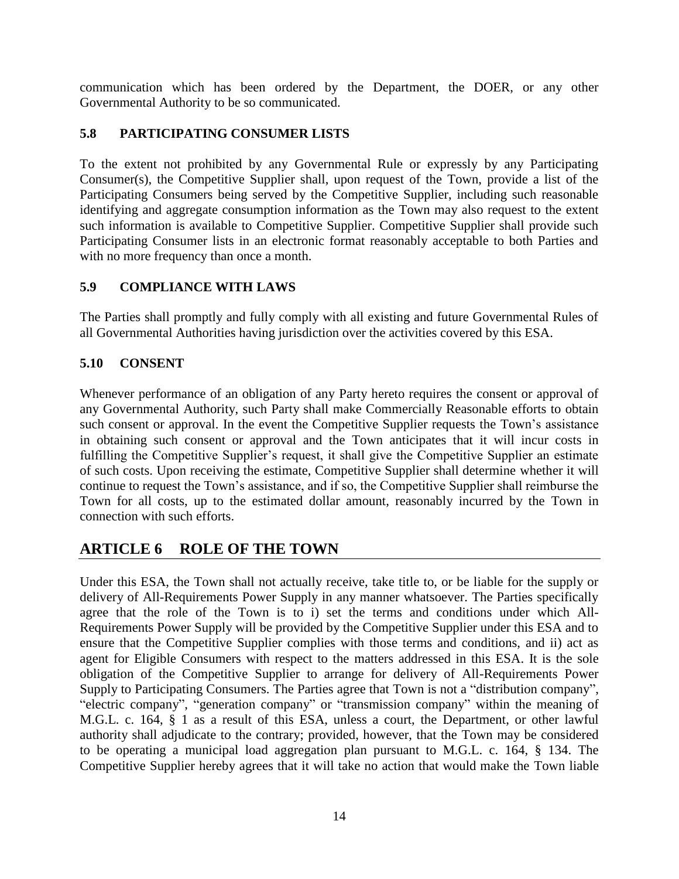communication which has been ordered by the Department, the DOER, or any other Governmental Authority to be so communicated.

### **5.8 PARTICIPATING CONSUMER LISTS**

To the extent not prohibited by any Governmental Rule or expressly by any Participating Consumer(s), the Competitive Supplier shall, upon request of the Town, provide a list of the Participating Consumers being served by the Competitive Supplier, including such reasonable identifying and aggregate consumption information as the Town may also request to the extent such information is available to Competitive Supplier. Competitive Supplier shall provide such Participating Consumer lists in an electronic format reasonably acceptable to both Parties and with no more frequency than once a month.

#### **5.9 COMPLIANCE WITH LAWS**

The Parties shall promptly and fully comply with all existing and future Governmental Rules of all Governmental Authorities having jurisdiction over the activities covered by this ESA.

#### **5.10 CONSENT**

Whenever performance of an obligation of any Party hereto requires the consent or approval of any Governmental Authority, such Party shall make Commercially Reasonable efforts to obtain such consent or approval. In the event the Competitive Supplier requests the Town's assistance in obtaining such consent or approval and the Town anticipates that it will incur costs in fulfilling the Competitive Supplier's request, it shall give the Competitive Supplier an estimate of such costs. Upon receiving the estimate, Competitive Supplier shall determine whether it will continue to request the Town's assistance, and if so, the Competitive Supplier shall reimburse the Town for all costs, up to the estimated dollar amount, reasonably incurred by the Town in connection with such efforts.

## **ARTICLE 6 ROLE OF THE TOWN**

Under this ESA, the Town shall not actually receive, take title to, or be liable for the supply or delivery of All-Requirements Power Supply in any manner whatsoever. The Parties specifically agree that the role of the Town is to i) set the terms and conditions under which All-Requirements Power Supply will be provided by the Competitive Supplier under this ESA and to ensure that the Competitive Supplier complies with those terms and conditions, and ii) act as agent for Eligible Consumers with respect to the matters addressed in this ESA. It is the sole obligation of the Competitive Supplier to arrange for delivery of All-Requirements Power Supply to Participating Consumers. The Parties agree that Town is not a "distribution company", "electric company", "generation company" or "transmission company" within the meaning of M.G.L. c. 164, § 1 as a result of this ESA, unless a court, the Department, or other lawful authority shall adjudicate to the contrary; provided, however, that the Town may be considered to be operating a municipal load aggregation plan pursuant to M.G.L. c. 164, § 134. The Competitive Supplier hereby agrees that it will take no action that would make the Town liable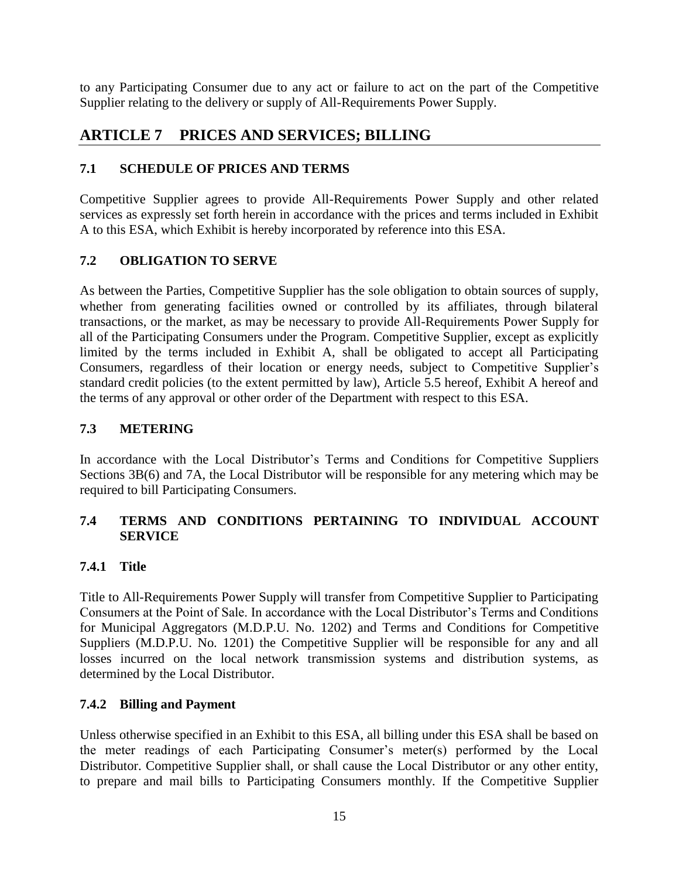to any Participating Consumer due to any act or failure to act on the part of the Competitive Supplier relating to the delivery or supply of All-Requirements Power Supply.

## **ARTICLE 7 PRICES AND SERVICES; BILLING**

### **7.1 SCHEDULE OF PRICES AND TERMS**

Competitive Supplier agrees to provide All-Requirements Power Supply and other related services as expressly set forth herein in accordance with the prices and terms included in Exhibit A to this ESA, which Exhibit is hereby incorporated by reference into this ESA.

### **7.2 OBLIGATION TO SERVE**

As between the Parties, Competitive Supplier has the sole obligation to obtain sources of supply, whether from generating facilities owned or controlled by its affiliates, through bilateral transactions, or the market, as may be necessary to provide All-Requirements Power Supply for all of the Participating Consumers under the Program. Competitive Supplier, except as explicitly limited by the terms included in Exhibit A, shall be obligated to accept all Participating Consumers, regardless of their location or energy needs, subject to Competitive Supplier's standard credit policies (to the extent permitted by law), Article 5.5 hereof, Exhibit A hereof and the terms of any approval or other order of the Department with respect to this ESA.

#### **7.3 METERING**

In accordance with the Local Distributor's Terms and Conditions for Competitive Suppliers Sections 3B(6) and 7A, the Local Distributor will be responsible for any metering which may be required to bill Participating Consumers.

#### **7.4 TERMS AND CONDITIONS PERTAINING TO INDIVIDUAL ACCOUNT SERVICE**

#### **7.4.1 Title**

Title to All-Requirements Power Supply will transfer from Competitive Supplier to Participating Consumers at the Point of Sale. In accordance with the Local Distributor's Terms and Conditions for Municipal Aggregators (M.D.P.U. No. 1202) and Terms and Conditions for Competitive Suppliers (M.D.P.U. No. 1201) the Competitive Supplier will be responsible for any and all losses incurred on the local network transmission systems and distribution systems, as determined by the Local Distributor.

#### **7.4.2 Billing and Payment**

Unless otherwise specified in an Exhibit to this ESA, all billing under this ESA shall be based on the meter readings of each Participating Consumer's meter(s) performed by the Local Distributor. Competitive Supplier shall, or shall cause the Local Distributor or any other entity, to prepare and mail bills to Participating Consumers monthly. If the Competitive Supplier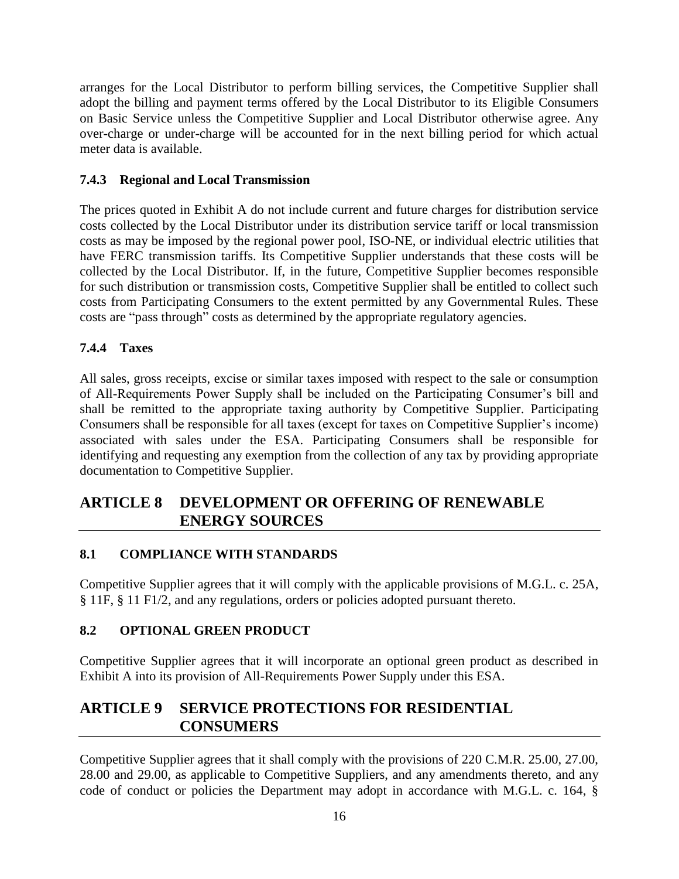arranges for the Local Distributor to perform billing services, the Competitive Supplier shall adopt the billing and payment terms offered by the Local Distributor to its Eligible Consumers on Basic Service unless the Competitive Supplier and Local Distributor otherwise agree. Any over-charge or under-charge will be accounted for in the next billing period for which actual meter data is available.

#### **7.4.3 Regional and Local Transmission**

The prices quoted in Exhibit A do not include current and future charges for distribution service costs collected by the Local Distributor under its distribution service tariff or local transmission costs as may be imposed by the regional power pool, ISO-NE, or individual electric utilities that have FERC transmission tariffs. Its Competitive Supplier understands that these costs will be collected by the Local Distributor. If, in the future, Competitive Supplier becomes responsible for such distribution or transmission costs, Competitive Supplier shall be entitled to collect such costs from Participating Consumers to the extent permitted by any Governmental Rules. These costs are "pass through" costs as determined by the appropriate regulatory agencies.

#### **7.4.4 Taxes**

All sales, gross receipts, excise or similar taxes imposed with respect to the sale or consumption of All-Requirements Power Supply shall be included on the Participating Consumer's bill and shall be remitted to the appropriate taxing authority by Competitive Supplier. Participating Consumers shall be responsible for all taxes (except for taxes on Competitive Supplier's income) associated with sales under the ESA. Participating Consumers shall be responsible for identifying and requesting any exemption from the collection of any tax by providing appropriate documentation to Competitive Supplier.

## **ARTICLE 8 DEVELOPMENT OR OFFERING OF RENEWABLE ENERGY SOURCES**

#### **8.1 COMPLIANCE WITH STANDARDS**

Competitive Supplier agrees that it will comply with the applicable provisions of M.G.L. c. 25A, § 11F, § 11 F1/2, and any regulations, orders or policies adopted pursuant thereto.

#### **8.2 OPTIONAL GREEN PRODUCT**

Competitive Supplier agrees that it will incorporate an optional green product as described in Exhibit A into its provision of All-Requirements Power Supply under this ESA.

## **ARTICLE 9 SERVICE PROTECTIONS FOR RESIDENTIAL CONSUMERS**

Competitive Supplier agrees that it shall comply with the provisions of 220 C.M.R. 25.00, 27.00, 28.00 and 29.00, as applicable to Competitive Suppliers, and any amendments thereto, and any code of conduct or policies the Department may adopt in accordance with M.G.L. c. 164, §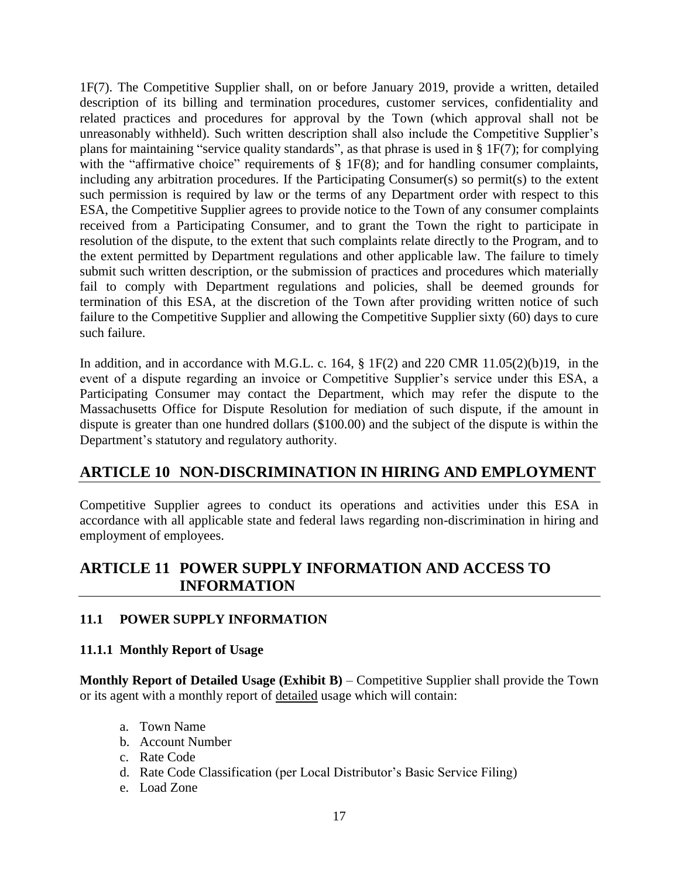1F(7). The Competitive Supplier shall, on or before January 2019, provide a written, detailed description of its billing and termination procedures, customer services, confidentiality and related practices and procedures for approval by the Town (which approval shall not be unreasonably withheld). Such written description shall also include the Competitive Supplier's plans for maintaining "service quality standards", as that phrase is used in § 1F(7); for complying with the "affirmative choice" requirements of  $\S$  1F(8); and for handling consumer complaints, including any arbitration procedures. If the Participating Consumer(s) so permit(s) to the extent such permission is required by law or the terms of any Department order with respect to this ESA, the Competitive Supplier agrees to provide notice to the Town of any consumer complaints received from a Participating Consumer, and to grant the Town the right to participate in resolution of the dispute, to the extent that such complaints relate directly to the Program, and to the extent permitted by Department regulations and other applicable law. The failure to timely submit such written description, or the submission of practices and procedures which materially fail to comply with Department regulations and policies, shall be deemed grounds for termination of this ESA, at the discretion of the Town after providing written notice of such failure to the Competitive Supplier and allowing the Competitive Supplier sixty (60) days to cure such failure.

In addition, and in accordance with M.G.L. c. 164, § 1F(2) and 220 CMR 11.05(2)(b)19, in the event of a dispute regarding an invoice or Competitive Supplier's service under this ESA, a Participating Consumer may contact the Department, which may refer the dispute to the Massachusetts Office for Dispute Resolution for mediation of such dispute, if the amount in dispute is greater than one hundred dollars (\$100.00) and the subject of the dispute is within the Department's statutory and regulatory authority.

## **ARTICLE 10 NON-DISCRIMINATION IN HIRING AND EMPLOYMENT**

Competitive Supplier agrees to conduct its operations and activities under this ESA in accordance with all applicable state and federal laws regarding non-discrimination in hiring and employment of employees.

## **ARTICLE 11 POWER SUPPLY INFORMATION AND ACCESS TO INFORMATION**

### **11.1 POWER SUPPLY INFORMATION**

#### **11.1.1 Monthly Report of Usage**

**Monthly Report of Detailed Usage (Exhibit B)** – Competitive Supplier shall provide the Town or its agent with a monthly report of detailed usage which will contain:

- a. Town Name
- b. Account Number
- c. Rate Code
- d. Rate Code Classification (per Local Distributor's Basic Service Filing)
- e. Load Zone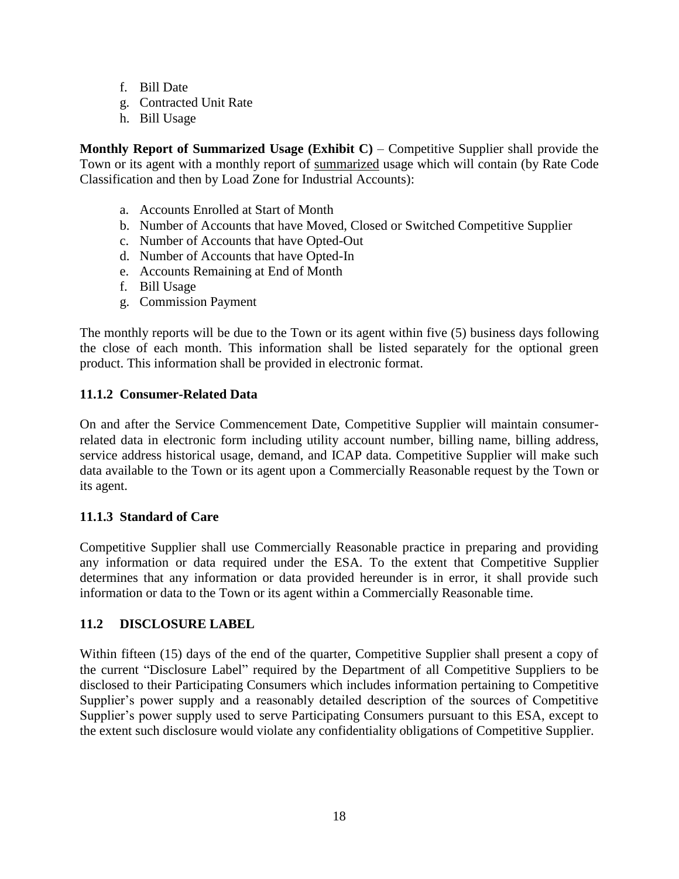- f. Bill Date
- g. Contracted Unit Rate
- h. Bill Usage

**Monthly Report of Summarized Usage (Exhibit C)** – Competitive Supplier shall provide the Town or its agent with a monthly report of summarized usage which will contain (by Rate Code Classification and then by Load Zone for Industrial Accounts):

- a. Accounts Enrolled at Start of Month
- b. Number of Accounts that have Moved, Closed or Switched Competitive Supplier
- c. Number of Accounts that have Opted-Out
- d. Number of Accounts that have Opted-In
- e. Accounts Remaining at End of Month
- f. Bill Usage
- g. Commission Payment

The monthly reports will be due to the Town or its agent within five (5) business days following the close of each month. This information shall be listed separately for the optional green product. This information shall be provided in electronic format.

#### **11.1.2 Consumer-Related Data**

On and after the Service Commencement Date, Competitive Supplier will maintain consumerrelated data in electronic form including utility account number, billing name, billing address, service address historical usage, demand, and ICAP data. Competitive Supplier will make such data available to the Town or its agent upon a Commercially Reasonable request by the Town or its agent.

#### **11.1.3 Standard of Care**

Competitive Supplier shall use Commercially Reasonable practice in preparing and providing any information or data required under the ESA. To the extent that Competitive Supplier determines that any information or data provided hereunder is in error, it shall provide such information or data to the Town or its agent within a Commercially Reasonable time.

#### **11.2 DISCLOSURE LABEL**

Within fifteen (15) days of the end of the quarter, Competitive Supplier shall present a copy of the current "Disclosure Label" required by the Department of all Competitive Suppliers to be disclosed to their Participating Consumers which includes information pertaining to Competitive Supplier's power supply and a reasonably detailed description of the sources of Competitive Supplier's power supply used to serve Participating Consumers pursuant to this ESA, except to the extent such disclosure would violate any confidentiality obligations of Competitive Supplier.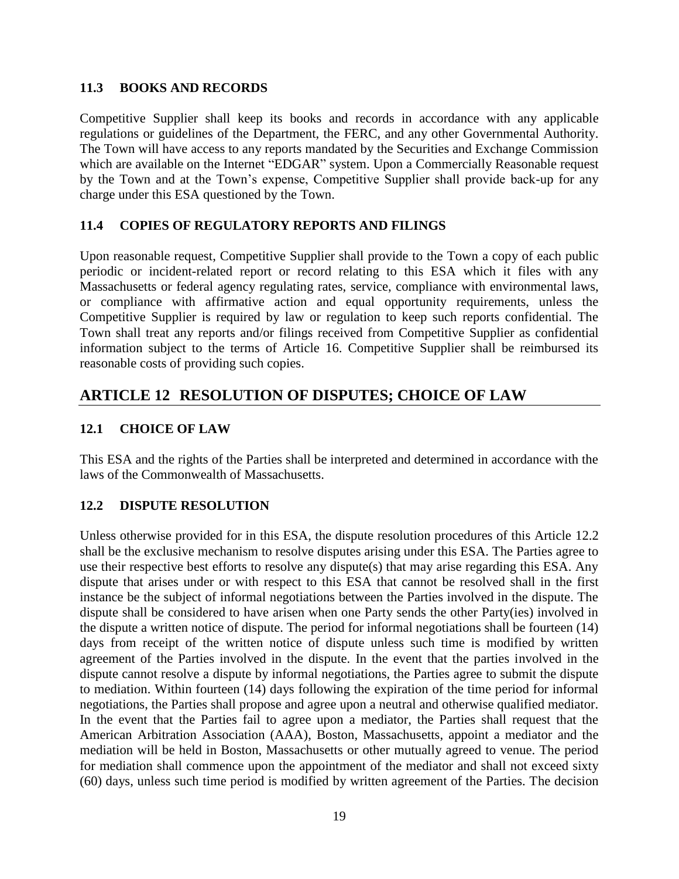#### **11.3 BOOKS AND RECORDS**

Competitive Supplier shall keep its books and records in accordance with any applicable regulations or guidelines of the Department, the FERC, and any other Governmental Authority. The Town will have access to any reports mandated by the Securities and Exchange Commission which are available on the Internet "EDGAR" system. Upon a Commercially Reasonable request by the Town and at the Town's expense, Competitive Supplier shall provide back-up for any charge under this ESA questioned by the Town.

#### **11.4 COPIES OF REGULATORY REPORTS AND FILINGS**

Upon reasonable request, Competitive Supplier shall provide to the Town a copy of each public periodic or incident-related report or record relating to this ESA which it files with any Massachusetts or federal agency regulating rates, service, compliance with environmental laws, or compliance with affirmative action and equal opportunity requirements, unless the Competitive Supplier is required by law or regulation to keep such reports confidential. The Town shall treat any reports and/or filings received from Competitive Supplier as confidential information subject to the terms of Article 16. Competitive Supplier shall be reimbursed its reasonable costs of providing such copies.

## **ARTICLE 12 RESOLUTION OF DISPUTES; CHOICE OF LAW**

#### **12.1 CHOICE OF LAW**

This ESA and the rights of the Parties shall be interpreted and determined in accordance with the laws of the Commonwealth of Massachusetts.

#### **12.2 DISPUTE RESOLUTION**

Unless otherwise provided for in this ESA, the dispute resolution procedures of this Article 12.2 shall be the exclusive mechanism to resolve disputes arising under this ESA. The Parties agree to use their respective best efforts to resolve any dispute(s) that may arise regarding this ESA. Any dispute that arises under or with respect to this ESA that cannot be resolved shall in the first instance be the subject of informal negotiations between the Parties involved in the dispute. The dispute shall be considered to have arisen when one Party sends the other Party(ies) involved in the dispute a written notice of dispute. The period for informal negotiations shall be fourteen (14) days from receipt of the written notice of dispute unless such time is modified by written agreement of the Parties involved in the dispute. In the event that the parties involved in the dispute cannot resolve a dispute by informal negotiations, the Parties agree to submit the dispute to mediation. Within fourteen (14) days following the expiration of the time period for informal negotiations, the Parties shall propose and agree upon a neutral and otherwise qualified mediator. In the event that the Parties fail to agree upon a mediator, the Parties shall request that the American Arbitration Association (AAA), Boston, Massachusetts, appoint a mediator and the mediation will be held in Boston, Massachusetts or other mutually agreed to venue. The period for mediation shall commence upon the appointment of the mediator and shall not exceed sixty (60) days, unless such time period is modified by written agreement of the Parties. The decision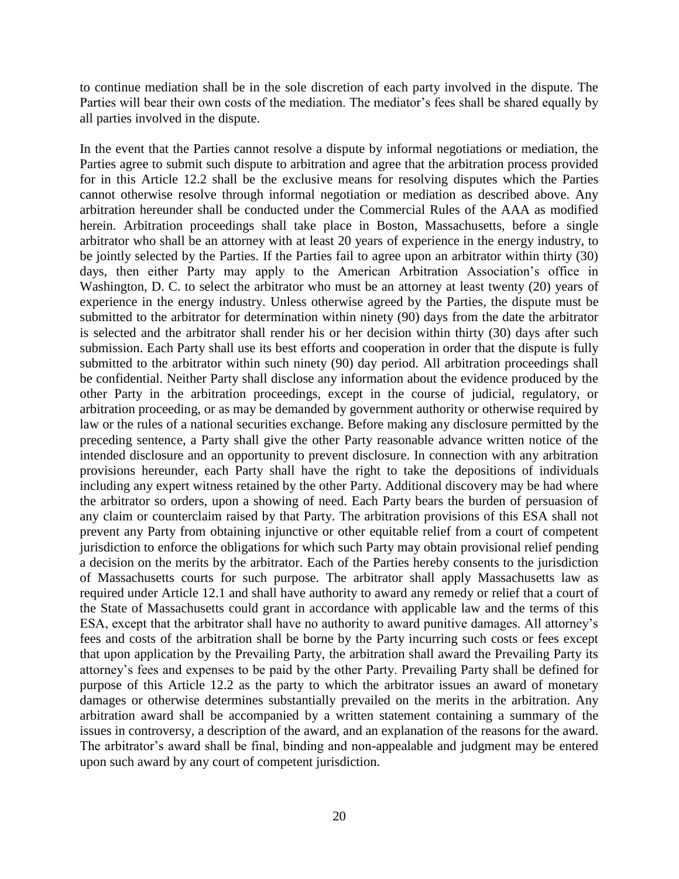to continue mediation shall be in the sole discretion of each party involved in the dispute. The Parties will bear their own costs of the mediation. The mediator's fees shall be shared equally by all parties involved in the dispute.

In the event that the Parties cannot resolve a dispute by informal negotiations or mediation, the Parties agree to submit such dispute to arbitration and agree that the arbitration process provided for in this Article 12.2 shall be the exclusive means for resolving disputes which the Parties cannot otherwise resolve through informal negotiation or mediation as described above. Any arbitration hereunder shall be conducted under the Commercial Rules of the AAA as modified herein. Arbitration proceedings shall take place in Boston, Massachusetts, before a single arbitrator who shall be an attorney with at least 20 years of experience in the energy industry, to be jointly selected by the Parties. If the Parties fail to agree upon an arbitrator within thirty (30) days, then either Party may apply to the American Arbitration Association's office in Washington, D. C. to select the arbitrator who must be an attorney at least twenty (20) years of experience in the energy industry. Unless otherwise agreed by the Parties, the dispute must be submitted to the arbitrator for determination within ninety (90) days from the date the arbitrator is selected and the arbitrator shall render his or her decision within thirty (30) days after such submission. Each Party shall use its best efforts and cooperation in order that the dispute is fully submitted to the arbitrator within such ninety (90) day period. All arbitration proceedings shall be confidential. Neither Party shall disclose any information about the evidence produced by the other Party in the arbitration proceedings, except in the course of judicial, regulatory, or arbitration proceeding, or as may be demanded by government authority or otherwise required by law or the rules of a national securities exchange. Before making any disclosure permitted by the preceding sentence, a Party shall give the other Party reasonable advance written notice of the intended disclosure and an opportunity to prevent disclosure. In connection with any arbitration provisions hereunder, each Party shall have the right to take the depositions of individuals including any expert witness retained by the other Party. Additional discovery may be had where the arbitrator so orders, upon a showing of need. Each Party bears the burden of persuasion of any claim or counterclaim raised by that Party. The arbitration provisions of this ESA shall not prevent any Party from obtaining injunctive or other equitable relief from a court of competent jurisdiction to enforce the obligations for which such Party may obtain provisional relief pending a decision on the merits by the arbitrator. Each of the Parties hereby consents to the jurisdiction of Massachusetts courts for such purpose. The arbitrator shall apply Massachusetts law as required under Article 12.1 and shall have authority to award any remedy or relief that a court of the State of Massachusetts could grant in accordance with applicable law and the terms of this ESA, except that the arbitrator shall have no authority to award punitive damages. All attorney's fees and costs of the arbitration shall be borne by the Party incurring such costs or fees except that upon application by the Prevailing Party, the arbitration shall award the Prevailing Party its attorney's fees and expenses to be paid by the other Party. Prevailing Party shall be defined for purpose of this Article 12.2 as the party to which the arbitrator issues an award of monetary damages or otherwise determines substantially prevailed on the merits in the arbitration. Any arbitration award shall be accompanied by a written statement containing a summary of the issues in controversy, a description of the award, and an explanation of the reasons for the award. The arbitrator's award shall be final, binding and non-appealable and judgment may be entered upon such award by any court of competent jurisdiction.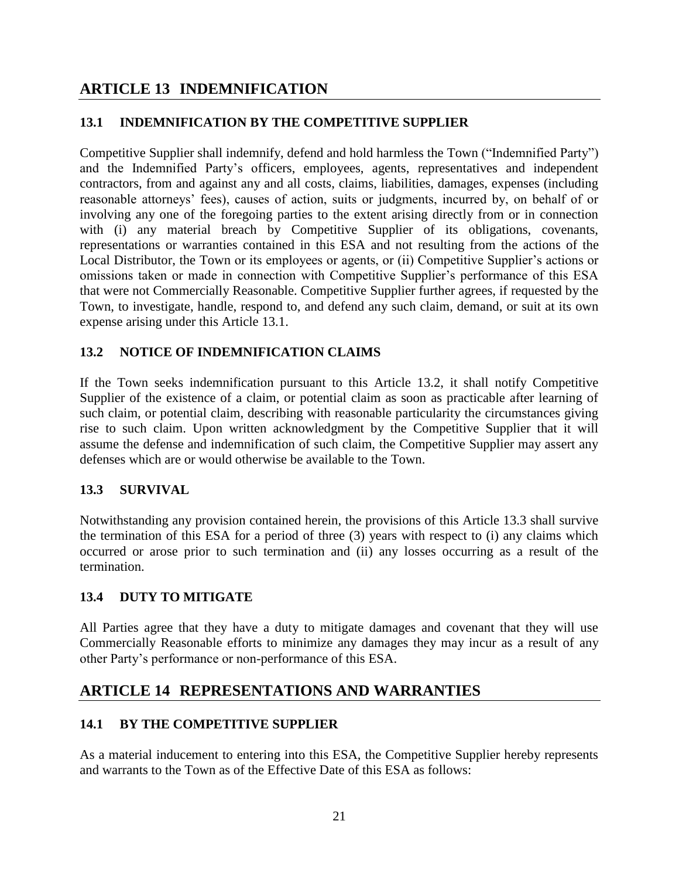## **ARTICLE 13 INDEMNIFICATION**

#### **13.1 INDEMNIFICATION BY THE COMPETITIVE SUPPLIER**

Competitive Supplier shall indemnify, defend and hold harmless the Town ("Indemnified Party") and the Indemnified Party's officers, employees, agents, representatives and independent contractors, from and against any and all costs, claims, liabilities, damages, expenses (including reasonable attorneys' fees), causes of action, suits or judgments, incurred by, on behalf of or involving any one of the foregoing parties to the extent arising directly from or in connection with (i) any material breach by Competitive Supplier of its obligations, covenants, representations or warranties contained in this ESA and not resulting from the actions of the Local Distributor, the Town or its employees or agents, or (ii) Competitive Supplier's actions or omissions taken or made in connection with Competitive Supplier's performance of this ESA that were not Commercially Reasonable. Competitive Supplier further agrees, if requested by the Town, to investigate, handle, respond to, and defend any such claim, demand, or suit at its own expense arising under this Article 13.1.

#### **13.2 NOTICE OF INDEMNIFICATION CLAIMS**

If the Town seeks indemnification pursuant to this Article 13.2, it shall notify Competitive Supplier of the existence of a claim, or potential claim as soon as practicable after learning of such claim, or potential claim, describing with reasonable particularity the circumstances giving rise to such claim. Upon written acknowledgment by the Competitive Supplier that it will assume the defense and indemnification of such claim, the Competitive Supplier may assert any defenses which are or would otherwise be available to the Town.

#### **13.3 SURVIVAL**

Notwithstanding any provision contained herein, the provisions of this Article 13.3 shall survive the termination of this ESA for a period of three (3) years with respect to (i) any claims which occurred or arose prior to such termination and (ii) any losses occurring as a result of the termination.

#### **13.4 DUTY TO MITIGATE**

All Parties agree that they have a duty to mitigate damages and covenant that they will use Commercially Reasonable efforts to minimize any damages they may incur as a result of any other Party's performance or non-performance of this ESA.

## **ARTICLE 14 REPRESENTATIONS AND WARRANTIES**

#### **14.1 BY THE COMPETITIVE SUPPLIER**

As a material inducement to entering into this ESA, the Competitive Supplier hereby represents and warrants to the Town as of the Effective Date of this ESA as follows: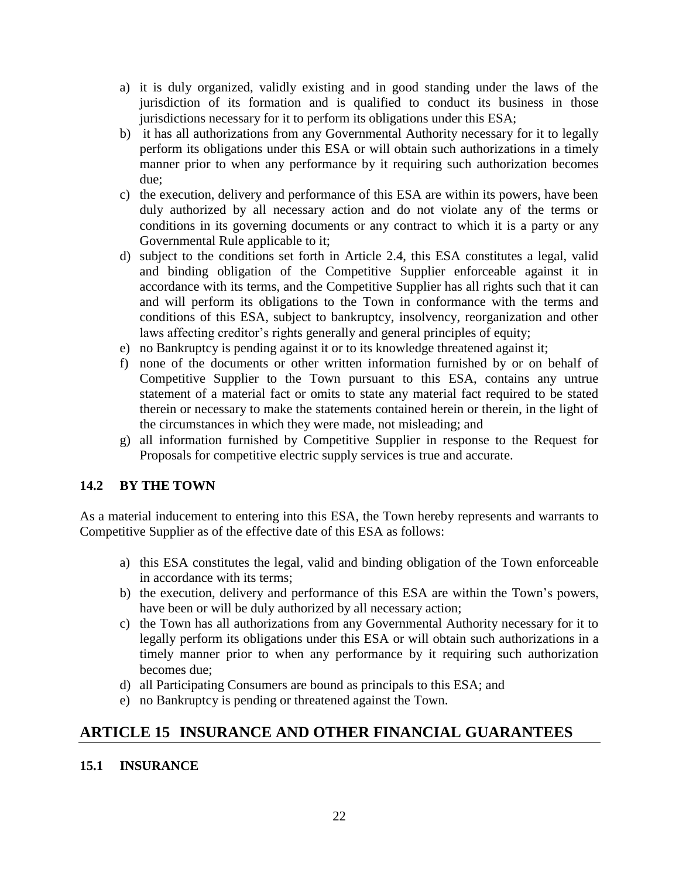- a) it is duly organized, validly existing and in good standing under the laws of the jurisdiction of its formation and is qualified to conduct its business in those jurisdictions necessary for it to perform its obligations under this ESA;
- b) it has all authorizations from any Governmental Authority necessary for it to legally perform its obligations under this ESA or will obtain such authorizations in a timely manner prior to when any performance by it requiring such authorization becomes due;
- c) the execution, delivery and performance of this ESA are within its powers, have been duly authorized by all necessary action and do not violate any of the terms or conditions in its governing documents or any contract to which it is a party or any Governmental Rule applicable to it;
- d) subject to the conditions set forth in Article 2.4, this ESA constitutes a legal, valid and binding obligation of the Competitive Supplier enforceable against it in accordance with its terms, and the Competitive Supplier has all rights such that it can and will perform its obligations to the Town in conformance with the terms and conditions of this ESA, subject to bankruptcy, insolvency, reorganization and other laws affecting creditor's rights generally and general principles of equity;
- e) no Bankruptcy is pending against it or to its knowledge threatened against it;
- f) none of the documents or other written information furnished by or on behalf of Competitive Supplier to the Town pursuant to this ESA, contains any untrue statement of a material fact or omits to state any material fact required to be stated therein or necessary to make the statements contained herein or therein, in the light of the circumstances in which they were made, not misleading; and
- g) all information furnished by Competitive Supplier in response to the Request for Proposals for competitive electric supply services is true and accurate.

#### **14.2 BY THE TOWN**

As a material inducement to entering into this ESA, the Town hereby represents and warrants to Competitive Supplier as of the effective date of this ESA as follows:

- a) this ESA constitutes the legal, valid and binding obligation of the Town enforceable in accordance with its terms;
- b) the execution, delivery and performance of this ESA are within the Town's powers, have been or will be duly authorized by all necessary action;
- c) the Town has all authorizations from any Governmental Authority necessary for it to legally perform its obligations under this ESA or will obtain such authorizations in a timely manner prior to when any performance by it requiring such authorization becomes due;
- d) all Participating Consumers are bound as principals to this ESA; and
- e) no Bankruptcy is pending or threatened against the Town.

## **ARTICLE 15 INSURANCE AND OTHER FINANCIAL GUARANTEES**

#### **15.1 INSURANCE**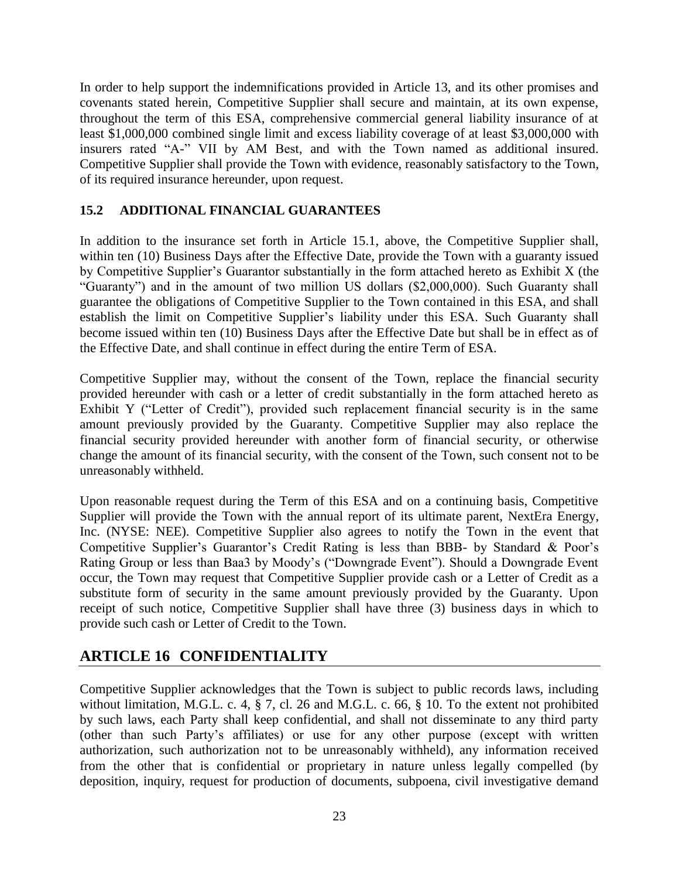In order to help support the indemnifications provided in Article 13, and its other promises and covenants stated herein, Competitive Supplier shall secure and maintain, at its own expense, throughout the term of this ESA, comprehensive commercial general liability insurance of at least \$1,000,000 combined single limit and excess liability coverage of at least \$3,000,000 with insurers rated "A-" VII by AM Best, and with the Town named as additional insured. Competitive Supplier shall provide the Town with evidence, reasonably satisfactory to the Town, of its required insurance hereunder, upon request.

#### **15.2 ADDITIONAL FINANCIAL GUARANTEES**

In addition to the insurance set forth in Article 15.1, above, the Competitive Supplier shall, within ten (10) Business Days after the Effective Date, provide the Town with a guaranty issued by Competitive Supplier's Guarantor substantially in the form attached hereto as Exhibit X (the "Guaranty") and in the amount of two million US dollars (\$2,000,000). Such Guaranty shall guarantee the obligations of Competitive Supplier to the Town contained in this ESA, and shall establish the limit on Competitive Supplier's liability under this ESA. Such Guaranty shall become issued within ten (10) Business Days after the Effective Date but shall be in effect as of the Effective Date, and shall continue in effect during the entire Term of ESA.

Competitive Supplier may, without the consent of the Town, replace the financial security provided hereunder with cash or a letter of credit substantially in the form attached hereto as Exhibit Y ("Letter of Credit"), provided such replacement financial security is in the same amount previously provided by the Guaranty. Competitive Supplier may also replace the financial security provided hereunder with another form of financial security, or otherwise change the amount of its financial security, with the consent of the Town, such consent not to be unreasonably withheld.

Upon reasonable request during the Term of this ESA and on a continuing basis, Competitive Supplier will provide the Town with the annual report of its ultimate parent, NextEra Energy, Inc. (NYSE: NEE). Competitive Supplier also agrees to notify the Town in the event that Competitive Supplier's Guarantor's Credit Rating is less than BBB- by Standard & Poor's Rating Group or less than Baa3 by Moody's ("Downgrade Event"). Should a Downgrade Event occur, the Town may request that Competitive Supplier provide cash or a Letter of Credit as a substitute form of security in the same amount previously provided by the Guaranty. Upon receipt of such notice, Competitive Supplier shall have three (3) business days in which to provide such cash or Letter of Credit to the Town.

## **ARTICLE 16 CONFIDENTIALITY**

Competitive Supplier acknowledges that the Town is subject to public records laws, including without limitation, M.G.L. c. 4, § 7, cl. 26 and M.G.L. c. 66, § 10. To the extent not prohibited by such laws, each Party shall keep confidential, and shall not disseminate to any third party (other than such Party's affiliates) or use for any other purpose (except with written authorization, such authorization not to be unreasonably withheld), any information received from the other that is confidential or proprietary in nature unless legally compelled (by deposition, inquiry, request for production of documents, subpoena, civil investigative demand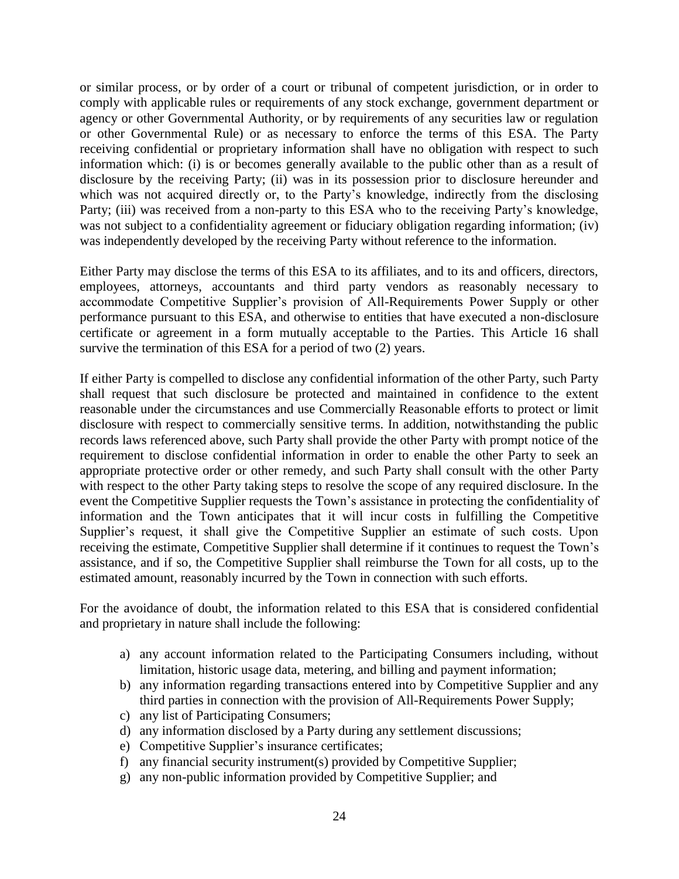or similar process, or by order of a court or tribunal of competent jurisdiction, or in order to comply with applicable rules or requirements of any stock exchange, government department or agency or other Governmental Authority, or by requirements of any securities law or regulation or other Governmental Rule) or as necessary to enforce the terms of this ESA. The Party receiving confidential or proprietary information shall have no obligation with respect to such information which: (i) is or becomes generally available to the public other than as a result of disclosure by the receiving Party; (ii) was in its possession prior to disclosure hereunder and which was not acquired directly or, to the Party's knowledge, indirectly from the disclosing Party; (iii) was received from a non-party to this ESA who to the receiving Party's knowledge, was not subject to a confidentiality agreement or fiduciary obligation regarding information; (iv) was independently developed by the receiving Party without reference to the information.

Either Party may disclose the terms of this ESA to its affiliates, and to its and officers, directors, employees, attorneys, accountants and third party vendors as reasonably necessary to accommodate Competitive Supplier's provision of All-Requirements Power Supply or other performance pursuant to this ESA, and otherwise to entities that have executed a non-disclosure certificate or agreement in a form mutually acceptable to the Parties. This Article 16 shall survive the termination of this ESA for a period of two  $(2)$  years.

If either Party is compelled to disclose any confidential information of the other Party, such Party shall request that such disclosure be protected and maintained in confidence to the extent reasonable under the circumstances and use Commercially Reasonable efforts to protect or limit disclosure with respect to commercially sensitive terms. In addition, notwithstanding the public records laws referenced above, such Party shall provide the other Party with prompt notice of the requirement to disclose confidential information in order to enable the other Party to seek an appropriate protective order or other remedy, and such Party shall consult with the other Party with respect to the other Party taking steps to resolve the scope of any required disclosure. In the event the Competitive Supplier requests the Town's assistance in protecting the confidentiality of information and the Town anticipates that it will incur costs in fulfilling the Competitive Supplier's request, it shall give the Competitive Supplier an estimate of such costs. Upon receiving the estimate, Competitive Supplier shall determine if it continues to request the Town's assistance, and if so, the Competitive Supplier shall reimburse the Town for all costs, up to the estimated amount, reasonably incurred by the Town in connection with such efforts.

For the avoidance of doubt, the information related to this ESA that is considered confidential and proprietary in nature shall include the following:

- a) any account information related to the Participating Consumers including, without limitation, historic usage data, metering, and billing and payment information;
- b) any information regarding transactions entered into by Competitive Supplier and any third parties in connection with the provision of All-Requirements Power Supply;
- c) any list of Participating Consumers;
- d) any information disclosed by a Party during any settlement discussions;
- e) Competitive Supplier's insurance certificates;
- f) any financial security instrument(s) provided by Competitive Supplier;
- g) any non-public information provided by Competitive Supplier; and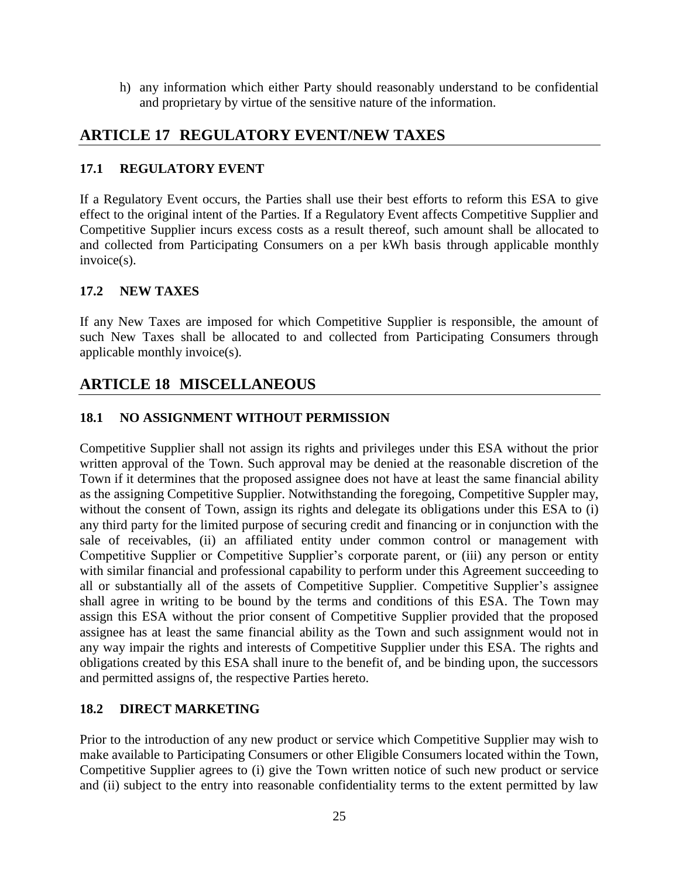h) any information which either Party should reasonably understand to be confidential and proprietary by virtue of the sensitive nature of the information.

### **ARTICLE 17 REGULATORY EVENT/NEW TAXES**

#### **17.1 REGULATORY EVENT**

If a Regulatory Event occurs, the Parties shall use their best efforts to reform this ESA to give effect to the original intent of the Parties. If a Regulatory Event affects Competitive Supplier and Competitive Supplier incurs excess costs as a result thereof, such amount shall be allocated to and collected from Participating Consumers on a per kWh basis through applicable monthly invoice(s).

#### **17.2 NEW TAXES**

If any New Taxes are imposed for which Competitive Supplier is responsible, the amount of such New Taxes shall be allocated to and collected from Participating Consumers through applicable monthly invoice(s).

## **ARTICLE 18 MISCELLANEOUS**

#### **18.1 NO ASSIGNMENT WITHOUT PERMISSION**

Competitive Supplier shall not assign its rights and privileges under this ESA without the prior written approval of the Town. Such approval may be denied at the reasonable discretion of the Town if it determines that the proposed assignee does not have at least the same financial ability as the assigning Competitive Supplier. Notwithstanding the foregoing, Competitive Suppler may, without the consent of Town, assign its rights and delegate its obligations under this ESA to (i) any third party for the limited purpose of securing credit and financing or in conjunction with the sale of receivables, (ii) an affiliated entity under common control or management with Competitive Supplier or Competitive Supplier's corporate parent, or (iii) any person or entity with similar financial and professional capability to perform under this Agreement succeeding to all or substantially all of the assets of Competitive Supplier. Competitive Supplier's assignee shall agree in writing to be bound by the terms and conditions of this ESA. The Town may assign this ESA without the prior consent of Competitive Supplier provided that the proposed assignee has at least the same financial ability as the Town and such assignment would not in any way impair the rights and interests of Competitive Supplier under this ESA. The rights and obligations created by this ESA shall inure to the benefit of, and be binding upon, the successors and permitted assigns of, the respective Parties hereto.

#### **18.2 DIRECT MARKETING**

Prior to the introduction of any new product or service which Competitive Supplier may wish to make available to Participating Consumers or other Eligible Consumers located within the Town, Competitive Supplier agrees to (i) give the Town written notice of such new product or service and (ii) subject to the entry into reasonable confidentiality terms to the extent permitted by law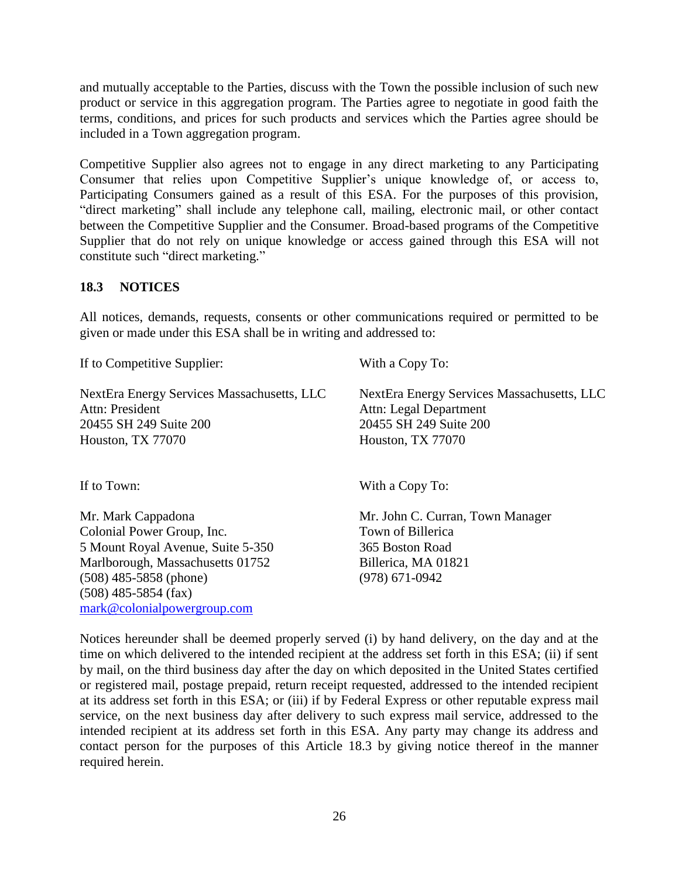and mutually acceptable to the Parties, discuss with the Town the possible inclusion of such new product or service in this aggregation program. The Parties agree to negotiate in good faith the terms, conditions, and prices for such products and services which the Parties agree should be included in a Town aggregation program.

Competitive Supplier also agrees not to engage in any direct marketing to any Participating Consumer that relies upon Competitive Supplier's unique knowledge of, or access to, Participating Consumers gained as a result of this ESA. For the purposes of this provision, "direct marketing" shall include any telephone call, mailing, electronic mail, or other contact between the Competitive Supplier and the Consumer. Broad-based programs of the Competitive Supplier that do not rely on unique knowledge or access gained through this ESA will not constitute such "direct marketing."

#### **18.3 NOTICES**

All notices, demands, requests, consents or other communications required or permitted to be given or made under this ESA shall be in writing and addressed to:

If to Competitive Supplier: With a Copy To:

Attn: President Attn: Legal Department 20455 SH 249 Suite 200 20455 SH 249 Suite 200 Houston, TX 77070 Houston, TX 77070

Colonial Power Group, Inc. Town of Billerica 5 Mount Royal Avenue, Suite 5-350 365 Boston Road Marlborough, Massachusetts 01752 Billerica, MA 01821 (508) 485-5858 (phone) (978) 671-0942 (508) 485-5854 (fax) mark@colonialpowergroup.com

NextEra Energy Services Massachusetts, LLC NextEra Energy Services Massachusetts, LLC

If to Town: With a Copy To:

Mr. Mark Cappadona Mr. John C. Curran, Town Manager

Notices hereunder shall be deemed properly served (i) by hand delivery, on the day and at the time on which delivered to the intended recipient at the address set forth in this ESA; (ii) if sent by mail, on the third business day after the day on which deposited in the United States certified or registered mail, postage prepaid, return receipt requested, addressed to the intended recipient at its address set forth in this ESA; or (iii) if by Federal Express or other reputable express mail service, on the next business day after delivery to such express mail service, addressed to the intended recipient at its address set forth in this ESA. Any party may change its address and contact person for the purposes of this Article 18.3 by giving notice thereof in the manner required herein.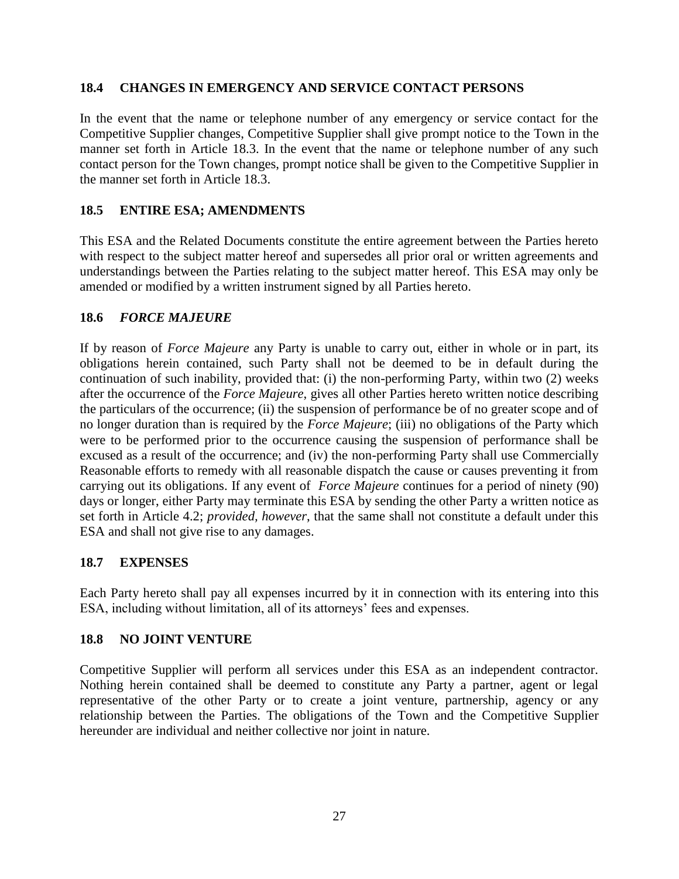#### **18.4 CHANGES IN EMERGENCY AND SERVICE CONTACT PERSONS**

In the event that the name or telephone number of any emergency or service contact for the Competitive Supplier changes, Competitive Supplier shall give prompt notice to the Town in the manner set forth in Article 18.3. In the event that the name or telephone number of any such contact person for the Town changes, prompt notice shall be given to the Competitive Supplier in the manner set forth in Article 18.3.

#### **18.5 ENTIRE ESA; AMENDMENTS**

This ESA and the Related Documents constitute the entire agreement between the Parties hereto with respect to the subject matter hereof and supersedes all prior oral or written agreements and understandings between the Parties relating to the subject matter hereof. This ESA may only be amended or modified by a written instrument signed by all Parties hereto.

#### **18.6** *FORCE MAJEURE*

If by reason of *Force Majeure* any Party is unable to carry out, either in whole or in part, its obligations herein contained, such Party shall not be deemed to be in default during the continuation of such inability, provided that: (i) the non-performing Party, within two (2) weeks after the occurrence of the *Force Majeure*, gives all other Parties hereto written notice describing the particulars of the occurrence; (ii) the suspension of performance be of no greater scope and of no longer duration than is required by the *Force Majeure*; (iii) no obligations of the Party which were to be performed prior to the occurrence causing the suspension of performance shall be excused as a result of the occurrence; and (iv) the non-performing Party shall use Commercially Reasonable efforts to remedy with all reasonable dispatch the cause or causes preventing it from carrying out its obligations. If any event of *Force Majeure* continues for a period of ninety (90) days or longer, either Party may terminate this ESA by sending the other Party a written notice as set forth in Article 4.2; *provided, however*, that the same shall not constitute a default under this ESA and shall not give rise to any damages.

#### **18.7 EXPENSES**

Each Party hereto shall pay all expenses incurred by it in connection with its entering into this ESA, including without limitation, all of its attorneys' fees and expenses.

#### **18.8 NO JOINT VENTURE**

Competitive Supplier will perform all services under this ESA as an independent contractor. Nothing herein contained shall be deemed to constitute any Party a partner, agent or legal representative of the other Party or to create a joint venture, partnership, agency or any relationship between the Parties. The obligations of the Town and the Competitive Supplier hereunder are individual and neither collective nor joint in nature.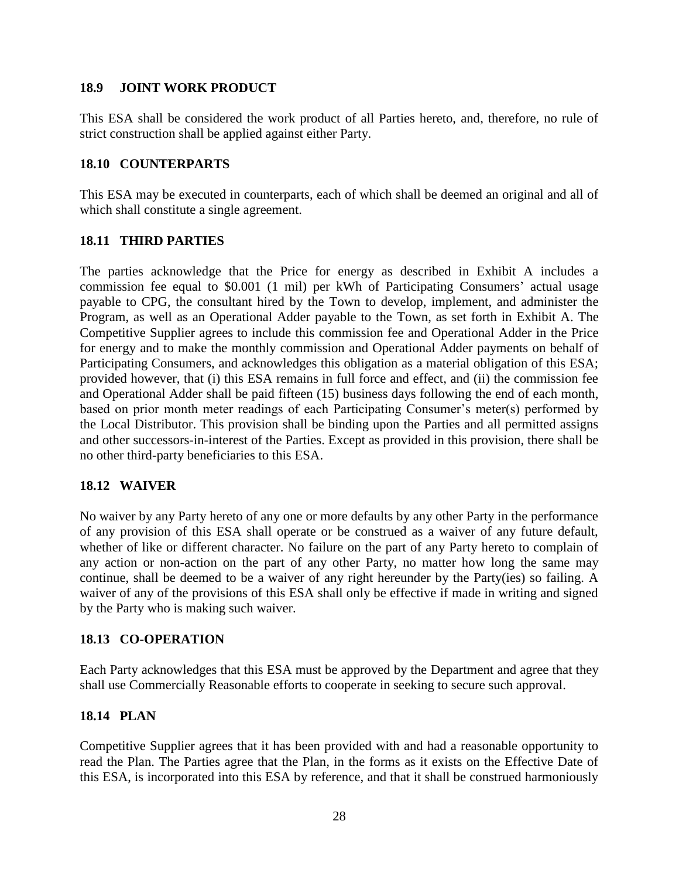#### **18.9 JOINT WORK PRODUCT**

This ESA shall be considered the work product of all Parties hereto, and, therefore, no rule of strict construction shall be applied against either Party.

#### **18.10 COUNTERPARTS**

This ESA may be executed in counterparts, each of which shall be deemed an original and all of which shall constitute a single agreement.

#### **18.11 THIRD PARTIES**

The parties acknowledge that the Price for energy as described in Exhibit A includes a commission fee equal to \$0.001 (1 mil) per kWh of Participating Consumers' actual usage payable to CPG, the consultant hired by the Town to develop, implement, and administer the Program, as well as an Operational Adder payable to the Town, as set forth in Exhibit A. The Competitive Supplier agrees to include this commission fee and Operational Adder in the Price for energy and to make the monthly commission and Operational Adder payments on behalf of Participating Consumers, and acknowledges this obligation as a material obligation of this ESA; provided however, that (i) this ESA remains in full force and effect, and (ii) the commission fee and Operational Adder shall be paid fifteen (15) business days following the end of each month, based on prior month meter readings of each Participating Consumer's meter(s) performed by the Local Distributor. This provision shall be binding upon the Parties and all permitted assigns and other successors-in-interest of the Parties. Except as provided in this provision, there shall be no other third-party beneficiaries to this ESA.

#### **18.12 WAIVER**

No waiver by any Party hereto of any one or more defaults by any other Party in the performance of any provision of this ESA shall operate or be construed as a waiver of any future default, whether of like or different character. No failure on the part of any Party hereto to complain of any action or non-action on the part of any other Party, no matter how long the same may continue, shall be deemed to be a waiver of any right hereunder by the Party(ies) so failing. A waiver of any of the provisions of this ESA shall only be effective if made in writing and signed by the Party who is making such waiver.

#### **18.13 CO-OPERATION**

Each Party acknowledges that this ESA must be approved by the Department and agree that they shall use Commercially Reasonable efforts to cooperate in seeking to secure such approval.

#### **18.14 PLAN**

Competitive Supplier agrees that it has been provided with and had a reasonable opportunity to read the Plan. The Parties agree that the Plan, in the forms as it exists on the Effective Date of this ESA, is incorporated into this ESA by reference, and that it shall be construed harmoniously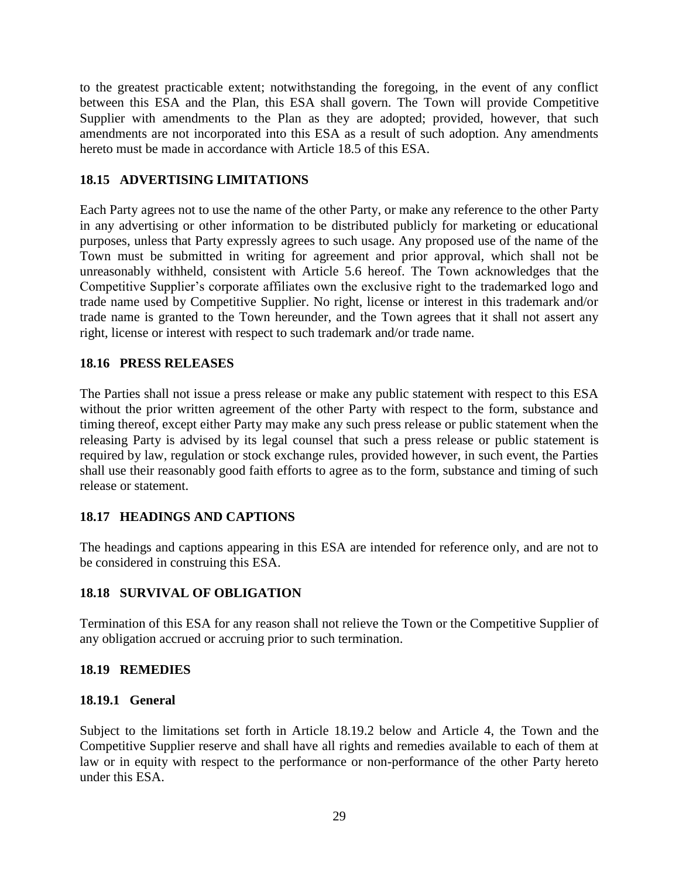to the greatest practicable extent; notwithstanding the foregoing, in the event of any conflict between this ESA and the Plan, this ESA shall govern. The Town will provide Competitive Supplier with amendments to the Plan as they are adopted; provided, however, that such amendments are not incorporated into this ESA as a result of such adoption. Any amendments hereto must be made in accordance with Article 18.5 of this ESA.

#### **18.15 ADVERTISING LIMITATIONS**

Each Party agrees not to use the name of the other Party, or make any reference to the other Party in any advertising or other information to be distributed publicly for marketing or educational purposes, unless that Party expressly agrees to such usage. Any proposed use of the name of the Town must be submitted in writing for agreement and prior approval, which shall not be unreasonably withheld, consistent with Article 5.6 hereof. The Town acknowledges that the Competitive Supplier's corporate affiliates own the exclusive right to the trademarked logo and trade name used by Competitive Supplier. No right, license or interest in this trademark and/or trade name is granted to the Town hereunder, and the Town agrees that it shall not assert any right, license or interest with respect to such trademark and/or trade name.

#### **18.16 PRESS RELEASES**

The Parties shall not issue a press release or make any public statement with respect to this ESA without the prior written agreement of the other Party with respect to the form, substance and timing thereof, except either Party may make any such press release or public statement when the releasing Party is advised by its legal counsel that such a press release or public statement is required by law, regulation or stock exchange rules, provided however, in such event, the Parties shall use their reasonably good faith efforts to agree as to the form, substance and timing of such release or statement.

#### **18.17 HEADINGS AND CAPTIONS**

The headings and captions appearing in this ESA are intended for reference only, and are not to be considered in construing this ESA.

#### **18.18 SURVIVAL OF OBLIGATION**

Termination of this ESA for any reason shall not relieve the Town or the Competitive Supplier of any obligation accrued or accruing prior to such termination.

#### **18.19 REMEDIES**

#### **18.19.1 General**

Subject to the limitations set forth in Article 18.19.2 below and Article 4, the Town and the Competitive Supplier reserve and shall have all rights and remedies available to each of them at law or in equity with respect to the performance or non-performance of the other Party hereto under this ESA.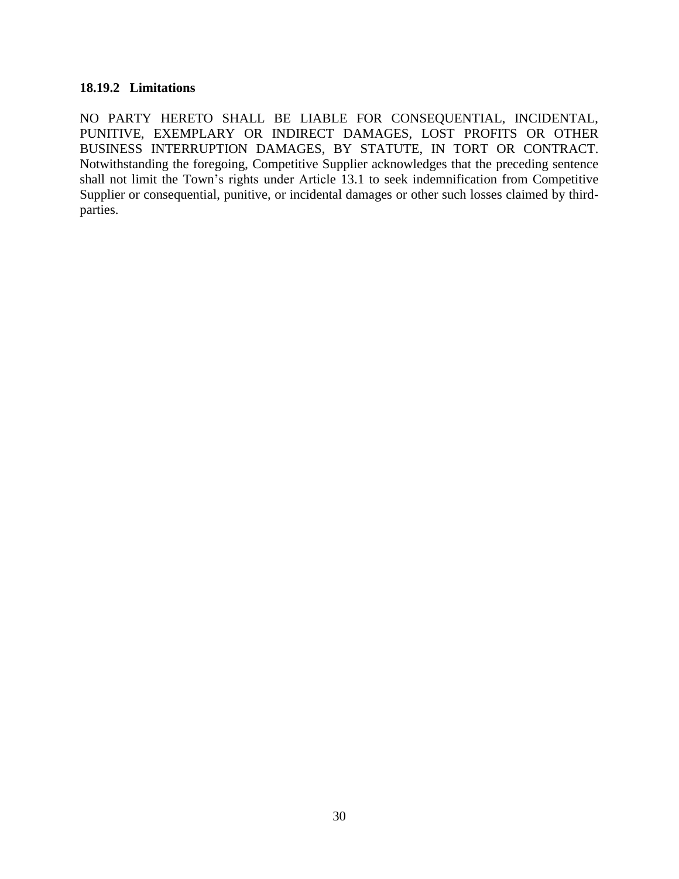#### **18.19.2 Limitations**

NO PARTY HERETO SHALL BE LIABLE FOR CONSEQUENTIAL, INCIDENTAL, PUNITIVE, EXEMPLARY OR INDIRECT DAMAGES, LOST PROFITS OR OTHER BUSINESS INTERRUPTION DAMAGES, BY STATUTE, IN TORT OR CONTRACT. Notwithstanding the foregoing, Competitive Supplier acknowledges that the preceding sentence shall not limit the Town's rights under Article 13.1 to seek indemnification from Competitive Supplier or consequential, punitive, or incidental damages or other such losses claimed by thirdparties.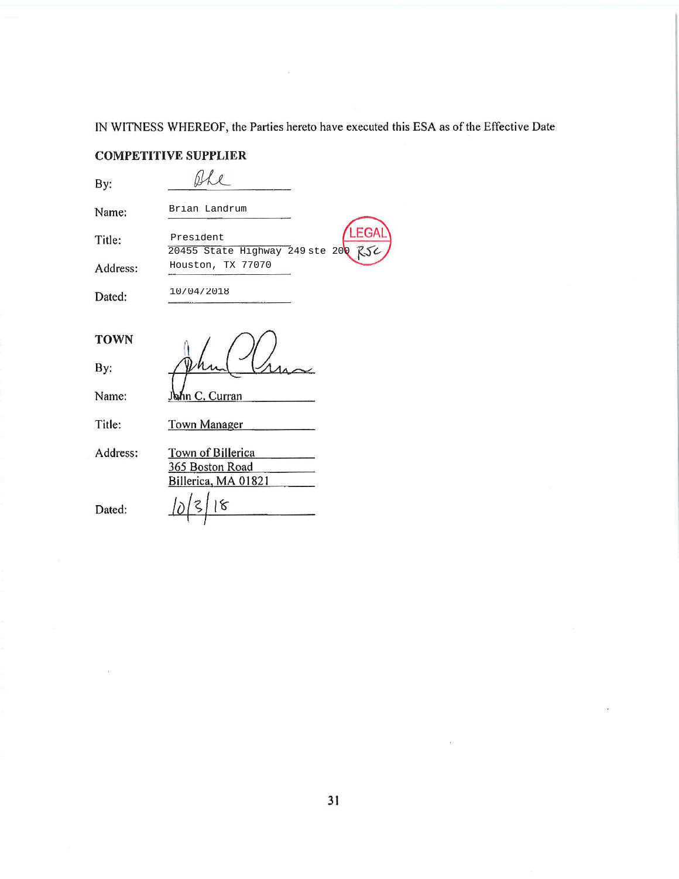IN WITNESS WHEREOF, the Parties hereto have executed this ESA as of the Effective Date

#### **COMPETITIVE SUPPLIER**

Ahe

Houston, TX 77070

President

10/04/2018

By:

Brian Landrum Name:

Title:

Address:

Dated:

20455 State Highway 249 ste 20

By:

Name:

**TOWN** 

Title: **Town Manager** 

**bhn C. Curran** 

Address: Town of Billerica 365 Boston Road Billerica, MA 01821  $\frac{1}{6}$ 

Dated: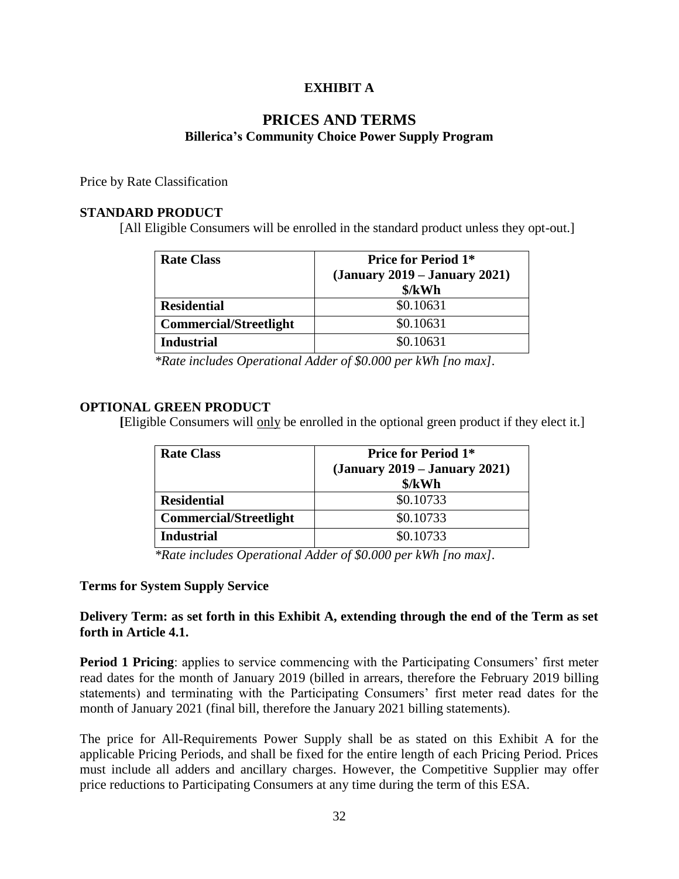#### **EXHIBIT A**

#### **PRICES AND TERMS Billerica's Community Choice Power Supply Program**

Price by Rate Classification

#### **STANDARD PRODUCT**

[All Eligible Consumers will be enrolled in the standard product unless they opt-out.]

| <b>Rate Class</b>             | <b>Price for Period 1*</b><br>$(January 2019 - January 2021)$<br>\$/kWh |
|-------------------------------|-------------------------------------------------------------------------|
| <b>Residential</b>            | \$0.10631                                                               |
| <b>Commercial/Streetlight</b> | \$0.10631                                                               |
| <b>Industrial</b>             | \$0.10631                                                               |

*\*Rate includes Operational Adder of \$0.000 per kWh [no max].*

#### **OPTIONAL GREEN PRODUCT**

**[**Eligible Consumers will only be enrolled in the optional green product if they elect it.]

| <b>Rate Class</b>             | <b>Price for Period 1*</b>      |
|-------------------------------|---------------------------------|
|                               | $(January 2019 - January 2021)$ |
|                               | \$/kWh                          |
| <b>Residential</b>            | \$0.10733                       |
| <b>Commercial/Streetlight</b> | \$0.10733                       |
| <b>Industrial</b>             | \$0.10733                       |

*\*Rate includes Operational Adder of \$0.000 per kWh [no max].*

#### **Terms for System Supply Service**

#### **Delivery Term: as set forth in this Exhibit A, extending through the end of the Term as set forth in Article 4.1.**

**Period 1 Pricing**: applies to service commencing with the Participating Consumers' first meter read dates for the month of January 2019 (billed in arrears, therefore the February 2019 billing statements) and terminating with the Participating Consumers' first meter read dates for the month of January 2021 (final bill, therefore the January 2021 billing statements).

The price for All-Requirements Power Supply shall be as stated on this Exhibit A for the applicable Pricing Periods, and shall be fixed for the entire length of each Pricing Period. Prices must include all adders and ancillary charges. However, the Competitive Supplier may offer price reductions to Participating Consumers at any time during the term of this ESA.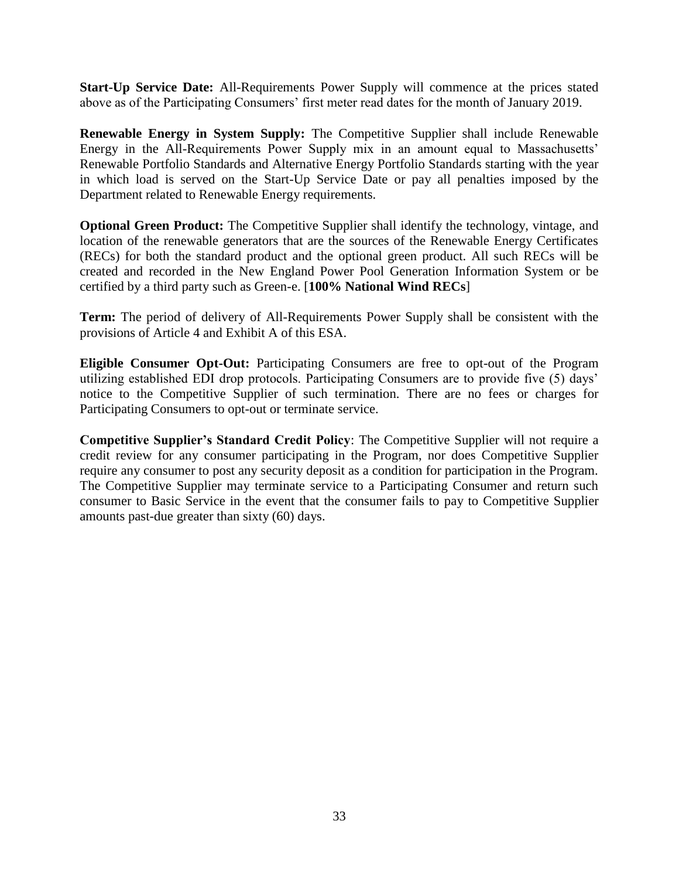**Start-Up Service Date:** All-Requirements Power Supply will commence at the prices stated above as of the Participating Consumers' first meter read dates for the month of January 2019.

**Renewable Energy in System Supply:** The Competitive Supplier shall include Renewable Energy in the All-Requirements Power Supply mix in an amount equal to Massachusetts' Renewable Portfolio Standards and Alternative Energy Portfolio Standards starting with the year in which load is served on the Start-Up Service Date or pay all penalties imposed by the Department related to Renewable Energy requirements.

**Optional Green Product:** The Competitive Supplier shall identify the technology, vintage, and location of the renewable generators that are the sources of the Renewable Energy Certificates (RECs) for both the standard product and the optional green product. All such RECs will be created and recorded in the New England Power Pool Generation Information System or be certified by a third party such as Green-e. [**100% National Wind RECs**]

**Term:** The period of delivery of All-Requirements Power Supply shall be consistent with the provisions of Article 4 and Exhibit A of this ESA.

**Eligible Consumer Opt-Out:** Participating Consumers are free to opt-out of the Program utilizing established EDI drop protocols. Participating Consumers are to provide five (5) days' notice to the Competitive Supplier of such termination. There are no fees or charges for Participating Consumers to opt-out or terminate service.

**Competitive Supplier's Standard Credit Policy**: The Competitive Supplier will not require a credit review for any consumer participating in the Program, nor does Competitive Supplier require any consumer to post any security deposit as a condition for participation in the Program. The Competitive Supplier may terminate service to a Participating Consumer and return such consumer to Basic Service in the event that the consumer fails to pay to Competitive Supplier amounts past-due greater than sixty (60) days.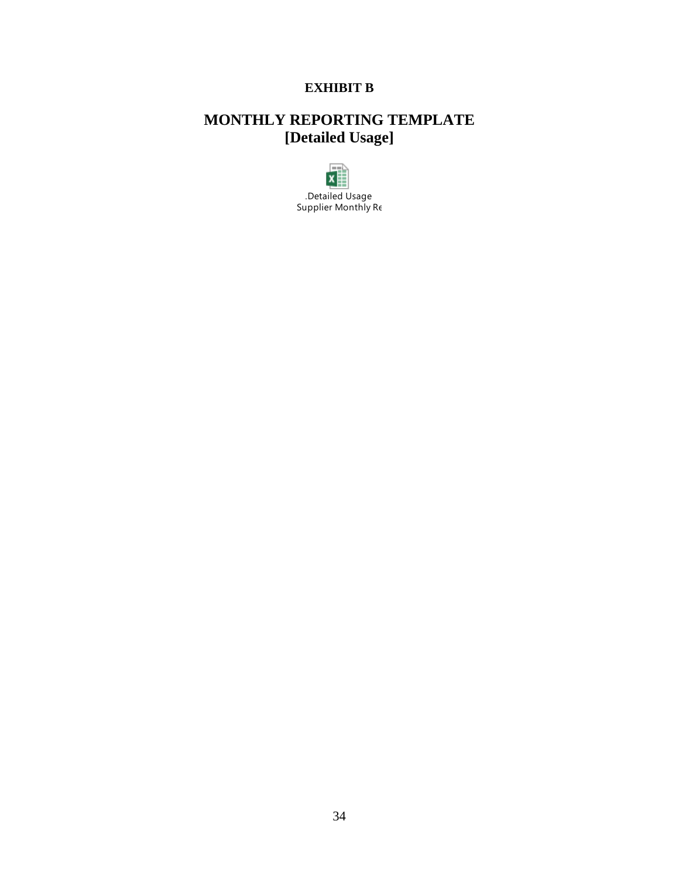### **EXHIBIT B**

# **MONTHLY REPORTING TEMPLATE [Detailed Usage]**